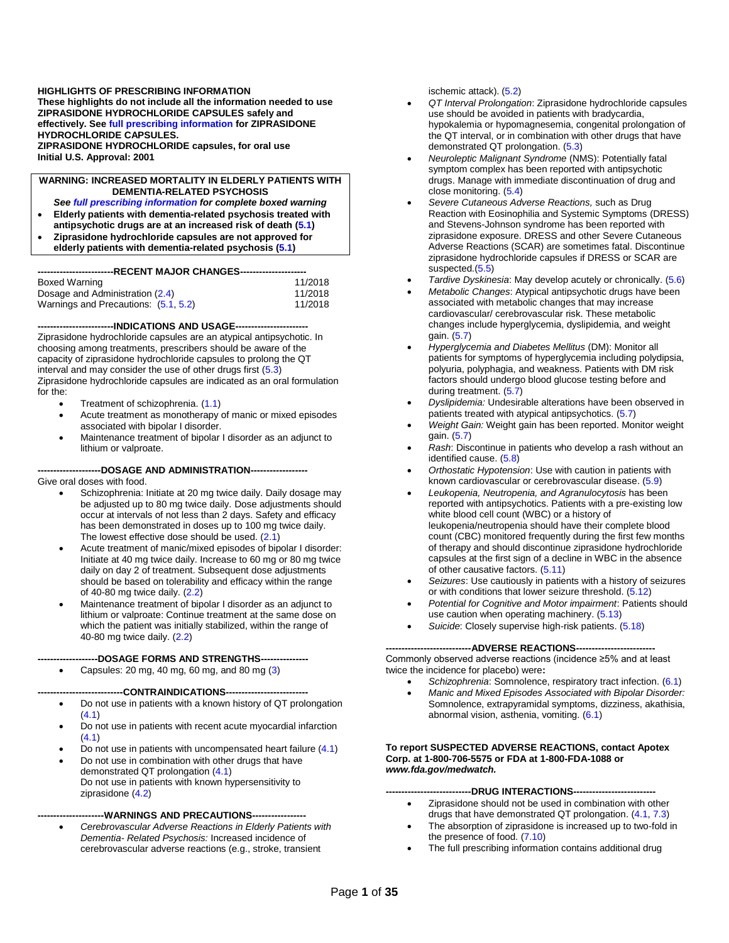#### **HIGHLIGHTS OF PRESCRIBING INFORMATION**

**These highlights do not include all the information needed to use ZIPRASIDONE HYDROCHLORIDE CAPSULES safely and effectively. Se[e full prescribing information](#page-2-0) for ZIPRASIDONE HYDROCHLORIDE CAPSULES. ZIPRASIDONE HYDROCHLORIDE capsules, for oral use Initial U.S. Approval: 2001**

#### **WARNING: INCREASED MORTALITY IN ELDERLY PATIENTS WITH DEMENTIA-RELATED PSYCHOSIS**

*Se[e full prescribing information](#page-2-0) for complete boxed warning* • **Elderly patients with dementia-related psychosis treated with** 

- **antipsychotic drugs are at an increased risk of death [\(5.1\)](#page-5-0)**
- **Ziprasidone hydrochloride capsules are not approved for elderly patients with dementia-related psychosis [\(5.1\)](#page-5-0)**

**------------------------RECENT MAJOR CHANGES---------------------**

| Boxed Warning                        | 11/2018 |
|--------------------------------------|---------|
| Dosage and Administration (2.4)      | 11/2018 |
| Warnings and Precautions: (5.1, 5.2) | 11/2018 |

**------------------------INDICATIONS AND USAGE-----------------------** Ziprasidone hydrochloride capsules are an atypical antipsychotic. In choosing among treatments, prescribers should be aware of the capacity of ziprasidone hydrochloride capsules to prolong the QT interval and may consider the use of other drugs first [\(5.3\)](#page-5-2) Ziprasidone hydrochloride capsules are indicated as an oral formulation for the:

- Treatment of schizophrenia. [\(1.1\)](#page-3-0)
- Acute treatment as monotherapy of manic or mixed episodes associated with bipolar I disorder.
- Maintenance treatment of bipolar I disorder as an adjunct to lithium or valproate.

#### **--------------------DOSAGE AND ADMINISTRATION------------------**

Give oral doses with food.

- Schizophrenia: Initiate at 20 mg twice daily. Daily dosage may be adjusted up to 80 mg twice daily. Dose adjustments should occur at intervals of not less than 2 days. Safety and efficacy has been demonstrated in doses up to 100 mg twice daily. The lowest effective dose should be used. [\(2.1\)](#page-3-1)
- Acute treatment of manic/mixed episodes of bipolar I disorder: Initiate at 40 mg twice daily. Increase to 60 mg or 80 mg twice daily on day 2 of treatment. Subsequent dose adjustments should be based on tolerability and efficacy within the range of 40-80 mg twice daily. [\(2.2\)](#page-4-1)
- Maintenance treatment of bipolar I disorder as an adjunct to lithium or valproate: Continue treatment at the same dose on which the patient was initially stabilized, within the range of 40-80 mg twice daily. [\(2.2\)](#page-4-1)

#### **-------------------DOSAGE FORMS AND STRENGTHS---------------**

• Capsules: 20 mg, 40 mg, 60 mg, and 80 mg [\(3\)](#page-4-2)

#### ---CONTRAINDICATIONS---

- Do not use in patients with a known history of QT prolongation [\(4.1\)](#page-4-3)
- Do not use in patients with recent acute myocardial infarction [\(4.1\)](#page-4-3)
- Do not use in patients with uncompensated heart failure [\(4.1\)](#page-4-3)
- Do not use in combination with other drugs that have demonstrated QT prolongation [\(4.1\)](#page-4-3) Do not use in patients with known hypersensitivity to ziprasidone [\(4.2\)](#page-5-3)

#### **---------------------WARNINGS AND PRECAUTIONS-----------------**

• *Cerebrovascular Adverse Reactions in Elderly Patients with Dementia- Related Psychosis:* Increased incidence of cerebrovascular adverse reactions (e.g., stroke, transient

ischemic attack). [\(5.2\)](#page-5-1)

- *QT Interval Prolongation*: Ziprasidone hydrochloride capsules use should be avoided in patients with bradycardia, hypokalemia or hypomagnesemia, congenital prolongation of the QT interval, or in combination with other drugs that have demonstrated QT prolongation. [\(5.3\)](#page-5-2)
- *Neuroleptic Malignant Syndrome* (NMS): Potentially fatal symptom complex has been reported with antipsychotic drugs. Manage with immediate discontinuation of drug and close monitoring. [\(5.4\)](#page-6-0)
- *Severe Cutaneous Adverse Reactions,* such as Drug Reaction with Eosinophilia and Systemic Symptoms (DRESS) and Stevens-Johnson syndrome has been reported with ziprasidone exposure. DRESS and other Severe Cutaneous Adverse Reactions (SCAR) are sometimes fatal. Discontinue ziprasidone hydrochloride capsules if DRESS or SCAR are suspected.[\(5.5\)](#page-7-0)
- *Tardive Dyskinesia*: May develop acutely or chronically. [\(5.6\)](#page-7-1)
- *Metabolic Changes*: Atypical antipsychotic drugs have been associated with metabolic changes that may increase cardiovascular/ cerebrovascular risk. These metabolic changes include hyperglycemia, dyslipidemia, and weight gain. [\(5.7\)](#page-8-0)
- *Hyperglycemia and Diabetes Mellitus* (DM): Monitor all patients for symptoms of hyperglycemia including polydipsia, polyuria, polyphagia, and weakness. Patients with DM risk factors should undergo blood glucose testing before and during treatment. [\(5.7\)](#page-8-0)
- *Dyslipidemia:* Undesirable alterations have been observed in patients treated with atypical antipsychotics. [\(5.7\)](#page-8-0)
- *Weight Gain:* Weight gain has been reported. Monitor weight gain. [\(5.7\)](#page-8-0)
- *Rash*: Discontinue in patients who develop a rash without an identified cause. [\(5.8\)](#page-12-0)
- *Orthostatic Hypotension*: Use with caution in patients with known cardiovascular or cerebrovascular disease. [\(5.9\)](#page-12-1)
- *Leukopenia, Neutropenia, and Agranulocytosis* has been reported with antipsychotics. Patients with a pre-existing low white blood cell count (WBC) or a history of leukopenia/neutropenia should have their complete blood count (CBC) monitored frequently during the first few months of therapy and should discontinue ziprasidone hydrochloride capsules at the first sign of a decline in WBC in the absence of other causative factors. [\(5.11\)](#page-13-0)
- *Seizures*: Use cautiously in patients with a history of seizures or with conditions that lower seizure threshold. [\(5.12\)](#page-13-1)
- *Potential for Cognitive and Motor impairment*: Patients should use caution when operating machinery. [\(5.13\)](#page-13-2)
- Suicide: Closely supervise high-risk patients. [\(5.18\)](#page-14-0)

#### ---ADVERSE REACTIONS-----

Commonly observed adverse reactions (incidence ≥5% and at least twice the incidence for placebo) were**:** 

- *Schizophrenia*: Somnolence, respiratory tract infection. [\(6.1\)](#page-14-1)
- *Manic and Mixed Episodes Associated with Bipolar Disorder:* Somnolence, extrapyramidal symptoms, dizziness, akathisia, abnormal vision, asthenia, vomiting. [\(6.1\)](#page-14-1)

**To report SUSPECTED ADVERSE REACTIONS, contact Apotex Corp. at 1-800-706-5575 or FDA at 1-800-FDA-1088 or**  *www.fda.gov/medwatch.*

#### **---------------------------DRUG INTERACTIONS--------------------------**

- Ziprasidone should not be used in combination with other drugs that have demonstrated QT prolongation. [\(4.1,](#page-4-3) [7.3\)](#page-21-0)
- The absorption of ziprasidone is increased up to two-fold in the presence of food. [\(7.10\)](#page-22-0)
- The full prescribing information contains additional drug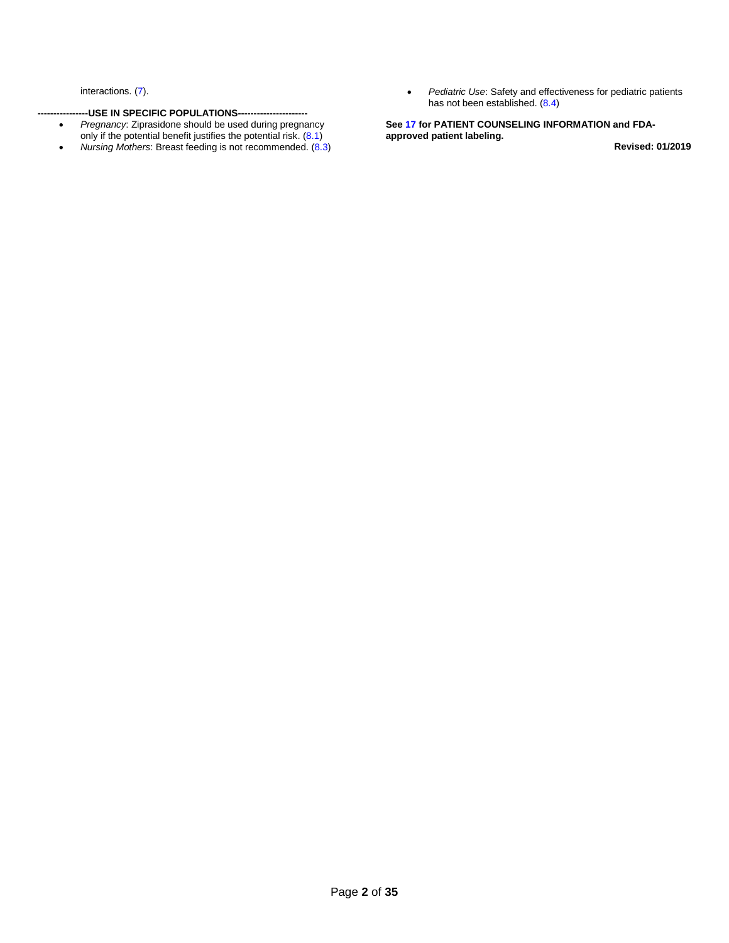interactions. [\(7\)](#page-20-0).

- **----USE IN SPECIFIC POPULATIONS----**
- *Pregnancy*: Ziprasidone should be used during pregnancy only if the potential benefit justifies the potential risk. [\(8.1\)](#page-22-1)
- *Nursing Mothers*: Breast feeding is not recommended. [\(8.3\)](#page-22-2)
- *Pediatric Use*: Safety and effectiveness for pediatric patients has not been established. [\(8.4\)](#page-23-0)

**Se[e 17 f](#page-29-0)or PATIENT COUNSELING INFORMATION and FDAapproved patient labeling.** 

**Revised: 01/2019**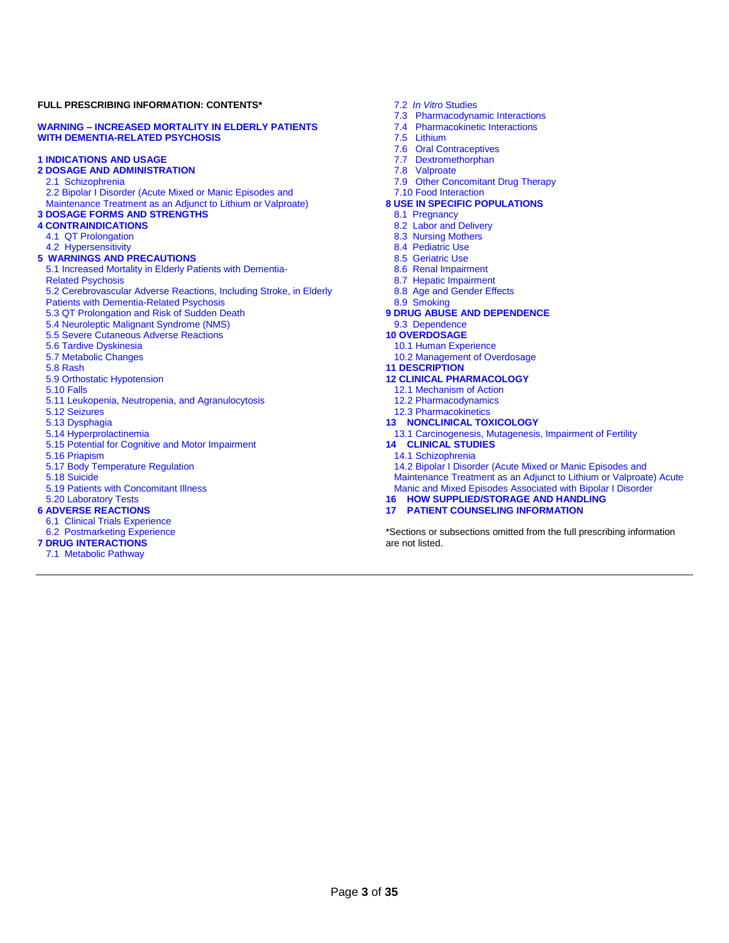#### **FULL PRESCRIBING INFORMATION: CONTENTS\***

#### **WARNING – [INCREASED MORTALITY IN ELDERLY PATIENTS](#page-3-2)  [WITH DEMENTIA-RELATED PSYCHOSIS](#page-3-2)**

#### **[1 INDICATIONS AND USAGE](#page-3-3)**

- **[2 DOSAGE AND ADMINISTRATION](#page-3-4)** 
	- [2.1 Schizophrenia](#page-3-1)
	- [2.2 Bipolar I Disorder \(Acute Mixed or Manic Episodes and](#page-3-5)
	- [Maintenance Treatment as an Adjunct to Lithium or Valproate\)](#page-3-5)
- **[3 DOSAGE FORMS AND STRENGTHS](#page-4-2)**

#### **[4 CONTRAINDICATIONS](#page-4-4)**

- [4.1 QT Prolongation](#page-4-3)
- [4.2 Hypersensitivity](#page-5-3)

#### **[5 WARNINGS AND PRECAUTIONS](#page-5-4)**

[5.1 Increased Mortality in Elderly Patients with](#page-5-0) Dementia-[Related Psychosis](#page-5-0) 

[5.2 Cerebrovascular Adverse Reactions, Including Stroke, in Elderly](#page-5-1)  [Patients with Dementia-Related Psychosis](#page-5-1)

- 5.3 [QT Prolongation and Risk of Sudden Death](#page-5-2)
- 5.4 [Neuroleptic Malignant Syndrome \(NMS\)](#page-6-0)
- 5.5 [Severe Cutaneous Adverse Reactions](#page-7-0)

5.6 [Tardive Dyskinesia](#page-7-1)

- 5.7 [Metabolic Changes](#page-8-0)
- 5.8 [Rash](#page-12-0)
- 5.9 [Orthostatic Hypotension](#page-12-1)
- 5.10 [Falls](#page-13-3)
- 5.11 [Leukopenia, Neutropenia, and Agranulocytosis](#page-13-0)
- 5.12 [Seizures](#page-13-1)
- 5.13 [Dysphagia](#page-13-2)
- 5.14 [Hyperprolactinemia](#page-13-4)
- 5.15 [Potential for Cognitive and Motor Impairment](#page-14-2)
- 5.16 [Priapism](#page-14-3)
- 5.17 [Body Temperature Regulation](#page-14-4)
- 5.18 [Suicide](#page-14-0)
- 5.19 [Patients with Concomitant Illness](#page-14-5)
- 5.20 [Laboratory Tests](#page-14-6)

#### **6 [ADVERSE REACTIONS](#page-14-7)**

- [6.1 Clinical Trials Experience](#page-14-1)
- [6.2 Postmarketing Experience](#page-20-1)
- **7 [DRUG INTERACTIONS](#page-20-0)**
- <span id="page-2-0"></span>[7.1 Metabolic Pathway](#page-20-2)
- 7.2 *In Vitro* [Studies](#page-21-1)
- [7.3 Pharmacodynamic Interactions](#page-21-0)
- [7.4 Pharmacokinetic Interactions](#page-21-2)
- [7.5 Lithium](#page-21-3)
- [7.6 Oral Contraceptives](#page-21-4)
- [7.7 Dextromethorphan](#page-21-5)
- [7.8 Valproate](#page-21-6)
- [7.9 Other Concomitant Drug Therapy](#page-22-3)

#### [7.10 Food Interaction](#page-22-0)  **[8 USE IN SPECIFIC POPULATIONS](#page-22-4)**

- [8.1 Pregnancy](#page-22-1)
- [8.2 Labor and Delivery](#page-22-5)
- [8.3 Nursing Mothers](#page-22-2)
- [8.4 Pediatric Use](#page-23-0)
- [8.5 Geriatric Use](#page-23-1)
- 
- [8.6 Renal Impairment](#page-23-2)
- [8.7 Hepatic Impairment](#page-23-3)
- [8.8 Age and Gender Effects](#page-23-4)
- [8.9 Smoking](#page-23-5)
- **[9 DRUG ABUSE AND DEPENDENCE](#page-23-6)**

#### [9.3 Dependence](#page-23-7)

- **[10 OVERDOSAGE](#page-24-0)**
- [10.1 Human Experience](#page-24-1)
- [10.2 Management of Overdosage](#page-24-2)
- **11 [DESCRIPTION](#page-24-3)**
- **[12 CLINICAL PHARMACOLOGY](#page-25-0)** 
	- [12.1 Mechanism of Action](#page-25-1)
- [12.2 Pharmacodynamics](#page-25-2)
- [12.3 Pharmacokinetics](#page-25-3)
- **[13 NONCLINICAL TOXICOLOGY](#page-26-0)**
- [13.1 Carcinogenesis, Mutagenesis, Impairment of Fertility](#page-26-1)
- **[14 CLINICAL STUDIES](#page-27-0)**
- [14.1 Schizophrenia](#page-27-1)

[14.2 Bipolar I Disorder \(Acute Mixed or Manic Episodes and](#page-27-2)  [Maintenance Treatment as an Adjunct to Lithium or Valproate\) Acute](#page-27-2)  [Manic and Mixed Episodes Associated with Bipolar I Disorder](#page-27-2)

- **[16 HOW SUPPLIED/STORAGE AND HANDLING](#page-28-0)**
- **[17 PATIENT COUNSELING INFORMATION](#page-29-0)**

\*Sections or subsections omitted from the full prescribing information are not listed.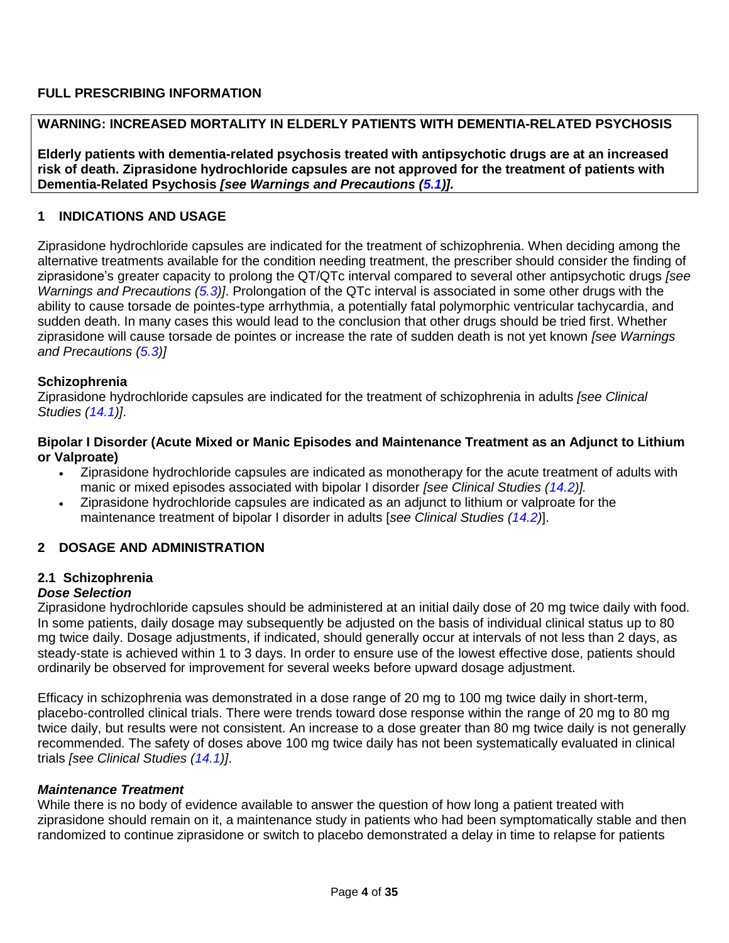## **FULL PRESCRIBING INFORMATION**

### <span id="page-3-2"></span>**WARNING: INCREASED MORTALITY IN ELDERLY PATIENTS WITH DEMENTIA-RELATED PSYCHOSIS**

**Elderly patients with dementia-related psychosis treated with antipsychotic drugs are at an increased risk of death. Ziprasidone hydrochloride capsules are not approved for the treatment of patients with Dementia-Related Psychosis** *[see Warnings and Precautions [\(5.1\)](#page-5-0)].* 

#### <span id="page-3-3"></span>**1 INDICATIONS AND USAGE**

Ziprasidone hydrochloride capsules are indicated for the treatment of schizophrenia. When deciding among the alternative treatments available for the condition needing treatment, the prescriber should consider the finding of ziprasidone's greater capacity to prolong the QT/QTc interval compared to several other antipsychotic drugs *[see Warnings and Precautions [\(5.3\)](#page-5-2)]*. Prolongation of the QTc interval is associated in some other drugs with the ability to cause torsade de pointes-type arrhythmia, a potentially fatal polymorphic ventricular tachycardia, and sudden death. In many cases this would lead to the conclusion that other drugs should be tried first. Whether ziprasidone will cause torsade de pointes or increase the rate of sudden death is not yet known *[see Warnings and Precautions [\(5.3\)](#page-5-2)]*

#### <span id="page-3-0"></span>**Schizophrenia**

Ziprasidone hydrochloride capsules are indicated for the treatment of schizophrenia in adults *[see Clinical Studies [\(14.1\)](#page-27-1)]*.

#### **Bipolar I Disorder (Acute Mixed or Manic Episodes and Maintenance Treatment as an Adjunct to Lithium or Valproate)**

- Ziprasidone hydrochloride capsules are indicated as monotherapy for the acute treatment of adults with manic or mixed episodes associated with bipolar I disorder *[see Clinical Studies [\(14.2\)](#page-27-2)].*
- Ziprasidone hydrochloride capsules are indicated as an adjunct to lithium or valproate for the maintenance treatment of bipolar I disorder in adults [*see Clinical Studies [\(14.2\)](#page-27-2)*].

#### <span id="page-3-4"></span>**2 DOSAGE AND ADMINISTRATION**

#### <span id="page-3-1"></span>**2.1 Schizophrenia**

#### *Dose Selection*

Ziprasidone hydrochloride capsules should be administered at an initial daily dose of 20 mg twice daily with food. In some patients, daily dosage may subsequently be adjusted on the basis of individual clinical status up to 80 mg twice daily. Dosage adjustments, if indicated, should generally occur at intervals of not less than 2 days, as steady-state is achieved within 1 to 3 days. In order to ensure use of the lowest effective dose, patients should ordinarily be observed for improvement for several weeks before upward dosage adjustment.

Efficacy in schizophrenia was demonstrated in a dose range of 20 mg to 100 mg twice daily in short-term, placebo-controlled clinical trials. There were trends toward dose response within the range of 20 mg to 80 mg twice daily, but results were not consistent. An increase to a dose greater than 80 mg twice daily is not generally recommended. The safety of doses above 100 mg twice daily has not been systematically evaluated in clinical trials *[see Clinical Studies [\(14.1\)](#page-27-1)]*.

#### <span id="page-3-5"></span>*Maintenance Treatment*

While there is no body of evidence available to answer the question of how long a patient treated with ziprasidone should remain on it, a maintenance study in patients who had been symptomatically stable and then randomized to continue ziprasidone or switch to placebo demonstrated a delay in time to relapse for patients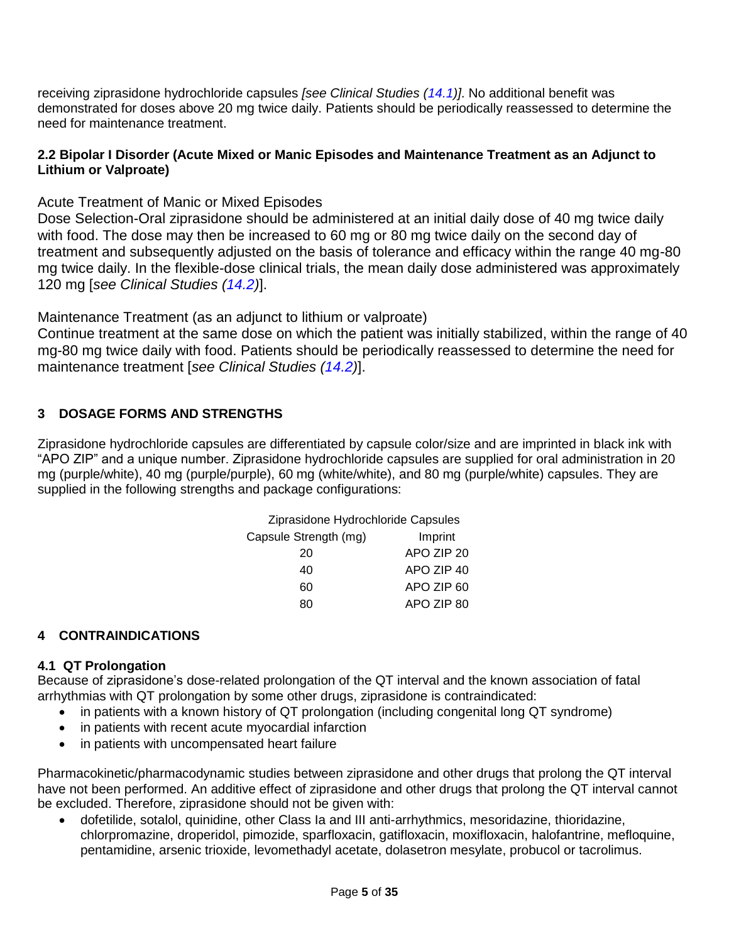receiving ziprasidone hydrochloride capsules *[see Clinical Studies [\(14.1\)](#page-27-1)]*. No additional benefit was demonstrated for doses above 20 mg twice daily. Patients should be periodically reassessed to determine the need for maintenance treatment.

### <span id="page-4-1"></span>**2.2 Bipolar I Disorder (Acute Mixed or Manic Episodes and Maintenance Treatment as an Adjunct to Lithium or Valproate)**

Acute Treatment of Manic or Mixed Episodes

Dose Selection-Oral ziprasidone should be administered at an initial daily dose of 40 mg twice daily with food. The dose may then be increased to 60 mg or 80 mg twice daily on the second day of treatment and subsequently adjusted on the basis of tolerance and efficacy within the range 40 mg-80 mg twice daily. In the flexible-dose clinical trials, the mean daily dose administered was approximately 120 mg [*see Clinical Studies [\(14.2\)](#page-27-2)*].

Maintenance Treatment (as an adjunct to lithium or valproate)

Continue treatment at the same dose on which the patient was initially stabilized, within the range of 40 mg-80 mg twice daily with food. Patients should be periodically reassessed to determine the need for maintenance treatment [*see Clinical Studies [\(14.2\)](#page-27-2)*].

## <span id="page-4-2"></span><span id="page-4-0"></span>**3 DOSAGE FORMS AND STRENGTHS**

Ziprasidone hydrochloride capsules are differentiated by capsule color/size and are imprinted in black ink with "APO ZIP" and a unique number. Ziprasidone hydrochloride capsules are supplied for oral administration in 20 mg (purple/white), 40 mg (purple/purple), 60 mg (white/white), and 80 mg (purple/white) capsules. They are supplied in the following strengths and package configurations:

| Ziprasidone Hydrochloride Capsules |  |  |  |  |  |
|------------------------------------|--|--|--|--|--|
| Imprint                            |  |  |  |  |  |
| APO ZIP 20                         |  |  |  |  |  |
| APO ZIP 40                         |  |  |  |  |  |
| APO ZIP 60                         |  |  |  |  |  |
| APO ZIP 80                         |  |  |  |  |  |
|                                    |  |  |  |  |  |

## <span id="page-4-4"></span>**4 CONTRAINDICATIONS**

## <span id="page-4-3"></span>**4.1 QT Prolongation**

Because of ziprasidone's dose-related prolongation of the QT interval and the known association of fatal arrhythmias with QT prolongation by some other drugs, ziprasidone is contraindicated:

- in patients with a known history of QT prolongation (including congenital long QT syndrome)
- in patients with recent acute myocardial infarction
- in patients with uncompensated heart failure

Pharmacokinetic/pharmacodynamic studies between ziprasidone and other drugs that prolong the QT interval have not been performed. An additive effect of ziprasidone and other drugs that prolong the QT interval cannot be excluded. Therefore, ziprasidone should not be given with:

• dofetilide, sotalol, quinidine, other Class Ia and III anti-arrhythmics, mesoridazine, thioridazine, chlorpromazine, droperidol, pimozide, sparfloxacin, gatifloxacin, moxifloxacin, halofantrine, mefloquine, pentamidine, arsenic trioxide, levomethadyl acetate, dolasetron mesylate, probucol or tacrolimus.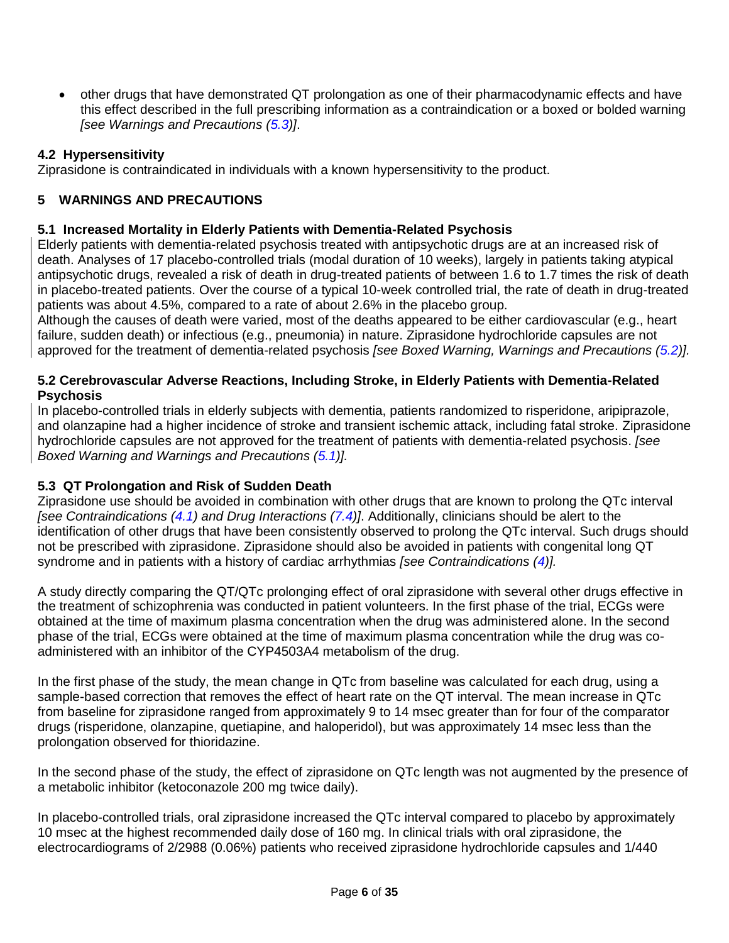• other drugs that have demonstrated QT prolongation as one of their pharmacodynamic effects and have this effect described in the full prescribing information as a contraindication or a boxed or bolded warning *[see Warnings and Precautions [\(5.3\)](#page-5-2)]*.

### <span id="page-5-3"></span>**4.2 Hypersensitivity**

Ziprasidone is contraindicated in individuals with a known hypersensitivity to the product.

### <span id="page-5-4"></span>**5 WARNINGS AND PRECAUTIONS**

#### <span id="page-5-0"></span>**5.1 Increased Mortality in Elderly Patients with Dementia-Related Psychosis**

Elderly patients with dementia-related psychosis treated with antipsychotic drugs are at an increased risk of death. Analyses of 17 placebo-controlled trials (modal duration of 10 weeks), largely in patients taking atypical antipsychotic drugs, revealed a risk of death in drug-treated patients of between 1.6 to 1.7 times the risk of death in placebo-treated patients. Over the course of a typical 10-week controlled trial, the rate of death in drug-treated patients was about 4.5%, compared to a rate of about 2.6% in the placebo group.

Although the causes of death were varied, most of the deaths appeared to be either cardiovascular (e.g., heart failure, sudden death) or infectious (e.g., pneumonia) in nature. Ziprasidone hydrochloride capsules are not approved for the treatment of dementia-related psychosis *[see Boxed Warning, Warnings and Precautions [\(5.2\)](#page-5-1)].*

#### <span id="page-5-1"></span>**5.2 Cerebrovascular Adverse Reactions, Including Stroke, in Elderly Patients with Dementia-Related Psychosis**

In placebo-controlled trials in elderly subjects with dementia, patients randomized to risperidone, aripiprazole, and olanzapine had a higher incidence of stroke and transient ischemic attack, including fatal stroke. Ziprasidone hydrochloride capsules are not approved for the treatment of patients with dementia-related psychosis. *[see Boxed Warning and Warnings and Precautions [\(5.1\)](#page-5-0)].*

#### <span id="page-5-2"></span>**5.3 QT Prolongation and Risk of Sudden Death**

Ziprasidone use should be avoided in combination with other drugs that are known to prolong the QTc interval *[see Contraindications [\(4.1\)](#page-4-3) and Drug Interactions [\(7.4\)](#page-21-2)]*. Additionally, clinicians should be alert to the identification of other drugs that have been consistently observed to prolong the QTc interval. Such drugs should not be prescribed with ziprasidone. Ziprasidone should also be avoided in patients with congenital long QT syndrome and in patients with a history of cardiac arrhythmias *[see Contraindications [\(4\)](#page-4-4)].* 

A study directly comparing the QT/QTc prolonging effect of oral ziprasidone with several other drugs effective in the treatment of schizophrenia was conducted in patient volunteers. In the first phase of the trial, ECGs were obtained at the time of maximum plasma concentration when the drug was administered alone. In the second phase of the trial, ECGs were obtained at the time of maximum plasma concentration while the drug was coadministered with an inhibitor of the CYP4503A4 metabolism of the drug.

In the first phase of the study, the mean change in QTc from baseline was calculated for each drug, using a sample-based correction that removes the effect of heart rate on the QT interval. The mean increase in QTc from baseline for ziprasidone ranged from approximately 9 to 14 msec greater than for four of the comparator drugs (risperidone, olanzapine, quetiapine, and haloperidol), but was approximately 14 msec less than the prolongation observed for thioridazine.

In the second phase of the study, the effect of ziprasidone on QTc length was not augmented by the presence of a metabolic inhibitor (ketoconazole 200 mg twice daily).

In placebo-controlled trials, oral ziprasidone increased the QTc interval compared to placebo by approximately 10 msec at the highest recommended daily dose of 160 mg. In clinical trials with oral ziprasidone, the electrocardiograms of 2/2988 (0.06%) patients who received ziprasidone hydrochloride capsules and 1/440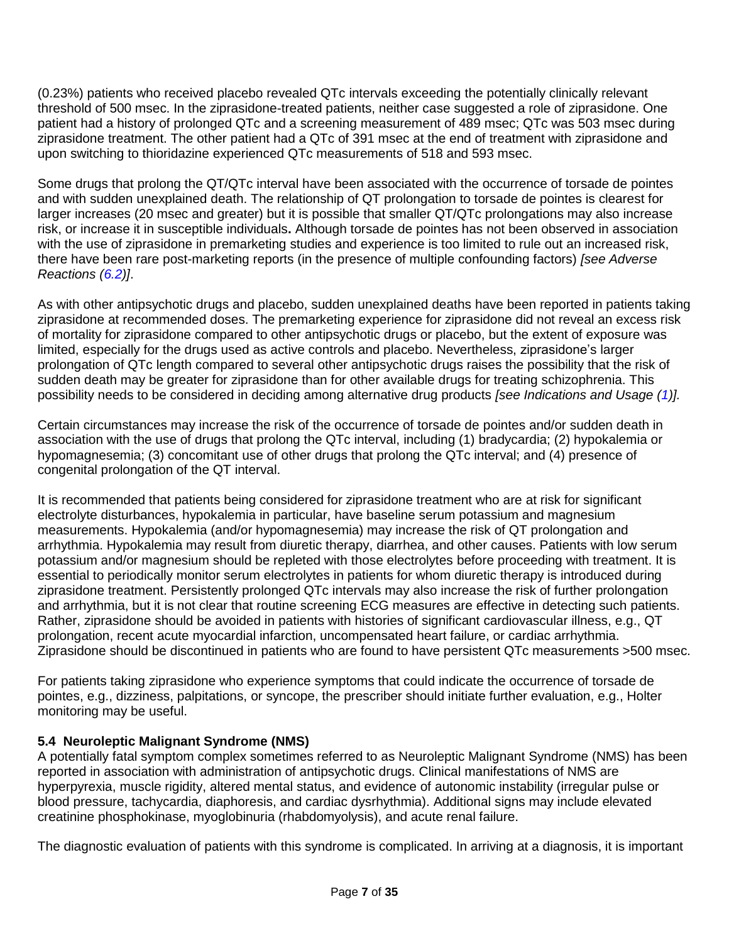(0.23%) patients who received placebo revealed QTc intervals exceeding the potentially clinically relevant threshold of 500 msec. In the ziprasidone-treated patients, neither case suggested a role of ziprasidone. One patient had a history of prolonged QTc and a screening measurement of 489 msec; QTc was 503 msec during ziprasidone treatment. The other patient had a QTc of 391 msec at the end of treatment with ziprasidone and upon switching to thioridazine experienced QTc measurements of 518 and 593 msec.

Some drugs that prolong the QT/QTc interval have been associated with the occurrence of torsade de pointes and with sudden unexplained death. The relationship of QT prolongation to torsade de pointes is clearest for larger increases (20 msec and greater) but it is possible that smaller QT/QTc prolongations may also increase risk, or increase it in susceptible individuals**.** Although torsade de pointes has not been observed in association with the use of ziprasidone in premarketing studies and experience is too limited to rule out an increased risk, there have been rare post-marketing reports (in the presence of multiple confounding factors) *[see Adverse Reactions [\(6.2\)](#page-20-1)]*.

As with other antipsychotic drugs and placebo, sudden unexplained deaths have been reported in patients taking ziprasidone at recommended doses. The premarketing experience for ziprasidone did not reveal an excess risk of mortality for ziprasidone compared to other antipsychotic drugs or placebo, but the extent of exposure was limited, especially for the drugs used as active controls and placebo. Nevertheless, ziprasidone's larger prolongation of QTc length compared to several other antipsychotic drugs raises the possibility that the risk of sudden death may be greater for ziprasidone than for other available drugs for treating schizophrenia. This possibility needs to be considered in deciding among alternative drug products *[see Indications and Usage [\(1\)](#page-3-3)].* 

Certain circumstances may increase the risk of the occurrence of torsade de pointes and/or sudden death in association with the use of drugs that prolong the QTc interval, including (1) bradycardia; (2) hypokalemia or hypomagnesemia; (3) concomitant use of other drugs that prolong the QTc interval; and (4) presence of congenital prolongation of the QT interval.

It is recommended that patients being considered for ziprasidone treatment who are at risk for significant electrolyte disturbances, hypokalemia in particular, have baseline serum potassium and magnesium measurements. Hypokalemia (and/or hypomagnesemia) may increase the risk of QT prolongation and arrhythmia. Hypokalemia may result from diuretic therapy, diarrhea, and other causes. Patients with low serum potassium and/or magnesium should be repleted with those electrolytes before proceeding with treatment. It is essential to periodically monitor serum electrolytes in patients for whom diuretic therapy is introduced during ziprasidone treatment. Persistently prolonged QTc intervals may also increase the risk of further prolongation and arrhythmia, but it is not clear that routine screening ECG measures are effective in detecting such patients. Rather, ziprasidone should be avoided in patients with histories of significant cardiovascular illness, e.g., QT prolongation, recent acute myocardial infarction, uncompensated heart failure, or cardiac arrhythmia. Ziprasidone should be discontinued in patients who are found to have persistent QTc measurements >500 msec.

For patients taking ziprasidone who experience symptoms that could indicate the occurrence of torsade de pointes, e.g., dizziness, palpitations, or syncope, the prescriber should initiate further evaluation, e.g., Holter monitoring may be useful.

## <span id="page-6-0"></span>**5.4 Neuroleptic Malignant Syndrome (NMS)**

A potentially fatal symptom complex sometimes referred to as Neuroleptic Malignant Syndrome (NMS) has been reported in association with administration of antipsychotic drugs. Clinical manifestations of NMS are hyperpyrexia, muscle rigidity, altered mental status, and evidence of autonomic instability (irregular pulse or blood pressure, tachycardia, diaphoresis, and cardiac dysrhythmia). Additional signs may include elevated creatinine phosphokinase, myoglobinuria (rhabdomyolysis), and acute renal failure.

The diagnostic evaluation of patients with this syndrome is complicated. In arriving at a diagnosis, it is important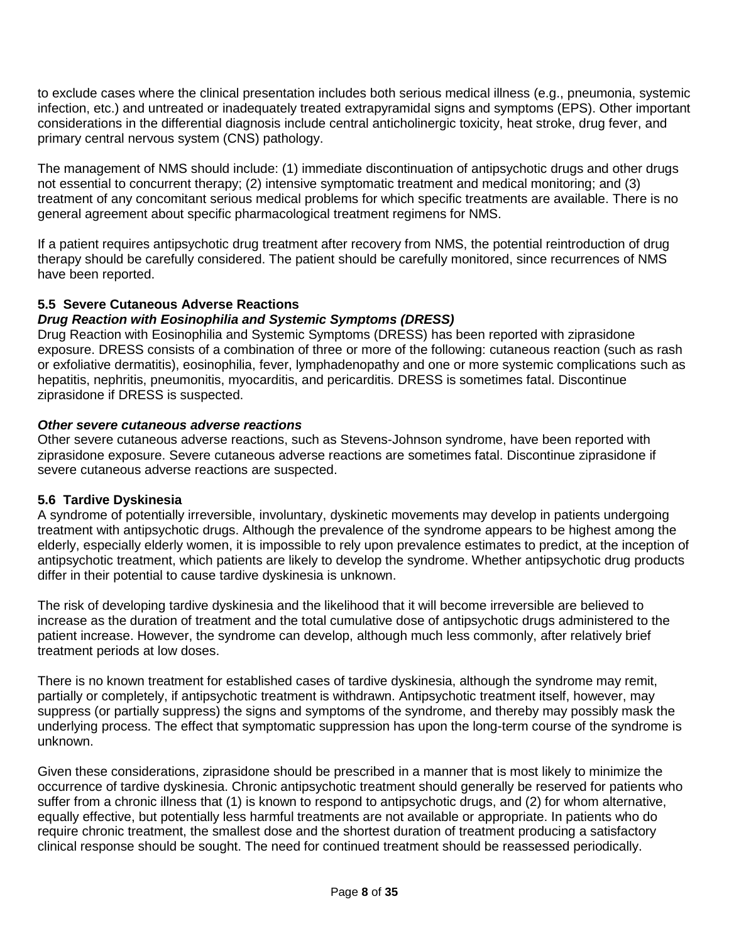to exclude cases where the clinical presentation includes both serious medical illness (e.g., pneumonia, systemic infection, etc.) and untreated or inadequately treated extrapyramidal signs and symptoms (EPS). Other important considerations in the differential diagnosis include central anticholinergic toxicity, heat stroke, drug fever, and primary central nervous system (CNS) pathology.

The management of NMS should include: (1) immediate discontinuation of antipsychotic drugs and other drugs not essential to concurrent therapy; (2) intensive symptomatic treatment and medical monitoring; and (3) treatment of any concomitant serious medical problems for which specific treatments are available. There is no general agreement about specific pharmacological treatment regimens for NMS.

If a patient requires antipsychotic drug treatment after recovery from NMS, the potential reintroduction of drug therapy should be carefully considered. The patient should be carefully monitored, since recurrences of NMS have been reported.

## <span id="page-7-0"></span>**5.5 Severe Cutaneous Adverse Reactions**

### *Drug Reaction with Eosinophilia and Systemic Symptoms (DRESS)*

Drug Reaction with Eosinophilia and Systemic Symptoms (DRESS) has been reported with ziprasidone exposure. DRESS consists of a combination of three or more of the following: cutaneous reaction (such as rash or exfoliative dermatitis), eosinophilia, fever, lymphadenopathy and one or more systemic complications such as hepatitis, nephritis, pneumonitis, myocarditis, and pericarditis. DRESS is sometimes fatal. Discontinue ziprasidone if DRESS is suspected.

#### *Other severe cutaneous adverse reactions*

Other severe cutaneous adverse reactions, such as Stevens-Johnson syndrome, have been reported with ziprasidone exposure. Severe cutaneous adverse reactions are sometimes fatal. Discontinue ziprasidone if severe cutaneous adverse reactions are suspected.

#### <span id="page-7-1"></span>**5.6 Tardive Dyskinesia**

A syndrome of potentially irreversible, involuntary, dyskinetic movements may develop in patients undergoing treatment with antipsychotic drugs. Although the prevalence of the syndrome appears to be highest among the elderly, especially elderly women, it is impossible to rely upon prevalence estimates to predict, at the inception of antipsychotic treatment, which patients are likely to develop the syndrome. Whether antipsychotic drug products differ in their potential to cause tardive dyskinesia is unknown.

The risk of developing tardive dyskinesia and the likelihood that it will become irreversible are believed to increase as the duration of treatment and the total cumulative dose of antipsychotic drugs administered to the patient increase. However, the syndrome can develop, although much less commonly, after relatively brief treatment periods at low doses.

There is no known treatment for established cases of tardive dyskinesia, although the syndrome may remit, partially or completely, if antipsychotic treatment is withdrawn. Antipsychotic treatment itself, however, may suppress (or partially suppress) the signs and symptoms of the syndrome, and thereby may possibly mask the underlying process. The effect that symptomatic suppression has upon the long-term course of the syndrome is unknown.

Given these considerations, ziprasidone should be prescribed in a manner that is most likely to minimize the occurrence of tardive dyskinesia. Chronic antipsychotic treatment should generally be reserved for patients who suffer from a chronic illness that (1) is known to respond to antipsychotic drugs, and (2) for whom alternative, equally effective, but potentially less harmful treatments are not available or appropriate. In patients who do require chronic treatment, the smallest dose and the shortest duration of treatment producing a satisfactory clinical response should be sought. The need for continued treatment should be reassessed periodically.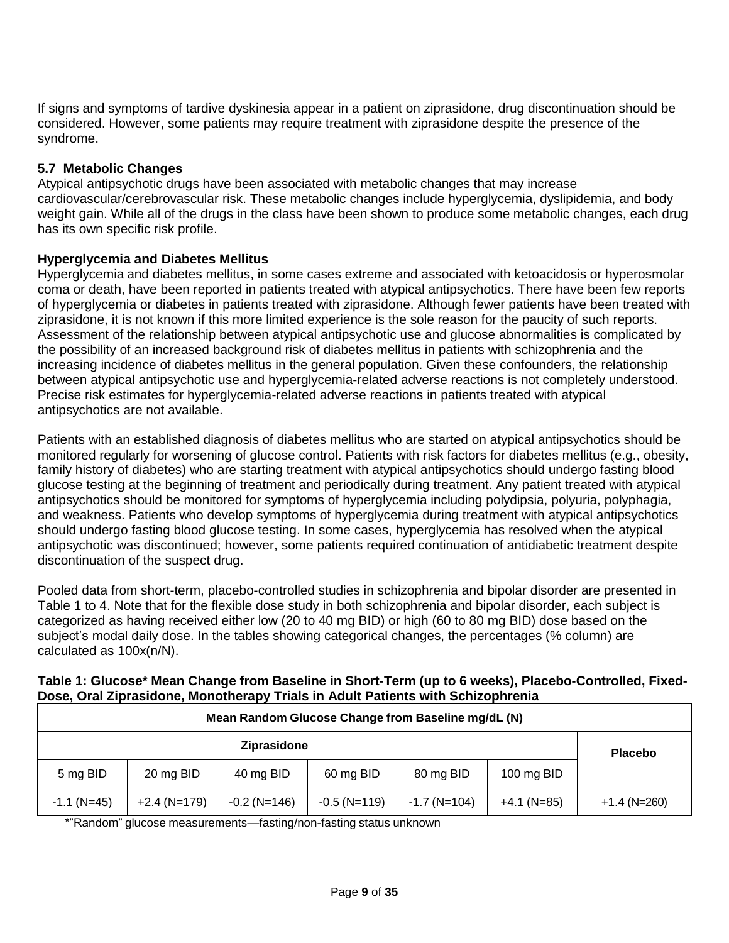If signs and symptoms of tardive dyskinesia appear in a patient on ziprasidone, drug discontinuation should be considered. However, some patients may require treatment with ziprasidone despite the presence of the syndrome.

### <span id="page-8-0"></span>**5.7 Metabolic Changes**

Atypical antipsychotic drugs have been associated with metabolic changes that may increase cardiovascular/cerebrovascular risk. These metabolic changes include hyperglycemia, dyslipidemia, and body weight gain. While all of the drugs in the class have been shown to produce some metabolic changes, each drug has its own specific risk profile.

### **Hyperglycemia and Diabetes Mellitus**

Hyperglycemia and diabetes mellitus, in some cases extreme and associated with ketoacidosis or hyperosmolar coma or death, have been reported in patients treated with atypical antipsychotics. There have been few reports of hyperglycemia or diabetes in patients treated with ziprasidone. Although fewer patients have been treated with ziprasidone, it is not known if this more limited experience is the sole reason for the paucity of such reports. Assessment of the relationship between atypical antipsychotic use and glucose abnormalities is complicated by the possibility of an increased background risk of diabetes mellitus in patients with schizophrenia and the increasing incidence of diabetes mellitus in the general population. Given these confounders, the relationship between atypical antipsychotic use and hyperglycemia-related adverse reactions is not completely understood. Precise risk estimates for hyperglycemia-related adverse reactions in patients treated with atypical antipsychotics are not available.

Patients with an established diagnosis of diabetes mellitus who are started on atypical antipsychotics should be monitored regularly for worsening of glucose control. Patients with risk factors for diabetes mellitus (e.g., obesity, family history of diabetes) who are starting treatment with atypical antipsychotics should undergo fasting blood glucose testing at the beginning of treatment and periodically during treatment. Any patient treated with atypical antipsychotics should be monitored for symptoms of hyperglycemia including polydipsia, polyuria, polyphagia, and weakness. Patients who develop symptoms of hyperglycemia during treatment with atypical antipsychotics should undergo fasting blood glucose testing. In some cases, hyperglycemia has resolved when the atypical antipsychotic was discontinued; however, some patients required continuation of antidiabetic treatment despite discontinuation of the suspect drug.

Pooled data from short-term, placebo-controlled studies in schizophrenia and bipolar disorder are presented in Table 1 to 4. Note that for the flexible dose study in both schizophrenia and bipolar disorder, each subject is categorized as having received either low (20 to 40 mg BID) or high (60 to 80 mg BID) dose based on the subiect's modal daily dose. In the tables showing categorical changes, the percentages (% column) are calculated as 100x(n/N).

|  |  |  |                                                                                 | Table 1: Glucose* Mean Change from Baseline in Short-Term (up to 6 weeks), Placebo-Controlled, Fixed- |
|--|--|--|---------------------------------------------------------------------------------|-------------------------------------------------------------------------------------------------------|
|  |  |  | Dose, Oral Ziprasidone, Monotherapy Trials in Adult Patients with Schizophrenia |                                                                                                       |
|  |  |  |                                                                                 |                                                                                                       |

| Mean Random Glucose Change from Baseline mg/dL (N) |                |                |                |                |               |                |
|----------------------------------------------------|----------------|----------------|----------------|----------------|---------------|----------------|
|                                                    | <b>Placebo</b> |                |                |                |               |                |
| 5 mg BID                                           | 20 mg BID      | 40 mg BID      | 60 mg BID      | 80 mg BID      | 100 mg BID    |                |
| $-1.1$ (N=45)                                      | $+2.4$ (N=179) | $-0.2$ (N=146) | $-0.5$ (N=119) | $-1.7$ (N=104) | $+4.1$ (N=85) | $+1.4$ (N=260) |

\*"Random" glucose measurements—fasting/non-fasting status unknown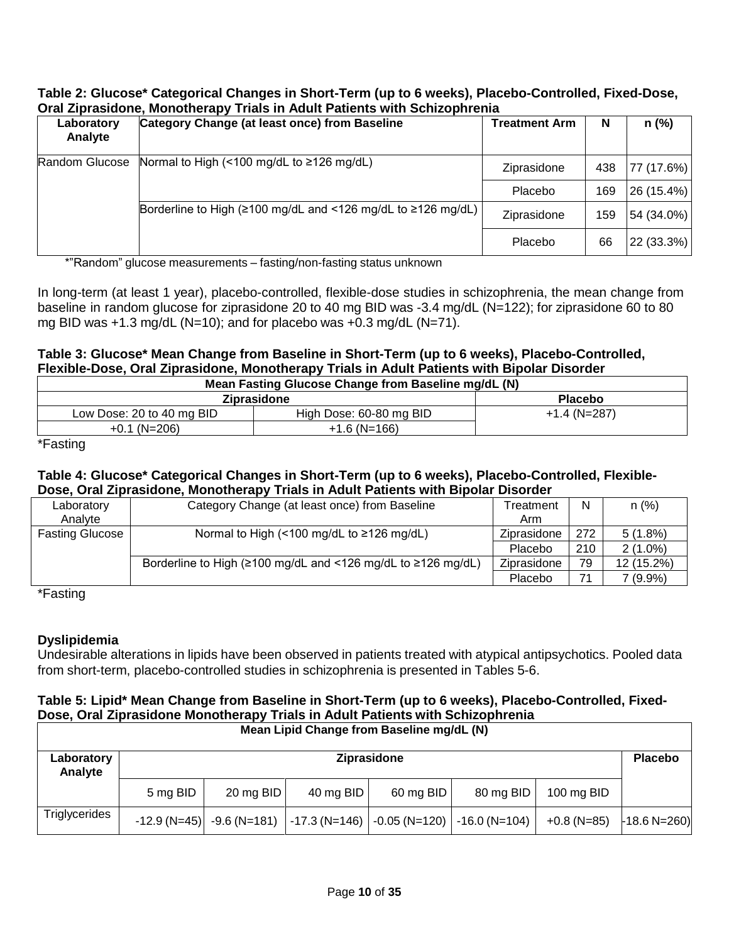#### **Table 2: Glucose\* Categorical Changes in Short-Term (up to 6 weeks), Placebo-Controlled, Fixed-Dose, Oral Ziprasidone, Monotherapy Trials in Adult Patients with Schizophrenia**

| Laboratory<br>Analyte | Category Change (at least once) from Baseline                             | <b>Treatment Arm</b> | N   | n (%)      |
|-----------------------|---------------------------------------------------------------------------|----------------------|-----|------------|
| Random Glucose        | Normal to High (<100 mg/dL to $\geq$ 126 mg/dL)                           | Ziprasidone          | 438 | 77 (17.6%) |
|                       |                                                                           | Placebo              | 169 | 26 (15.4%) |
|                       | Borderline to High ( $\geq$ 100 mg/dL and <126 mg/dL to $\geq$ 126 mg/dL) | Ziprasidone          | 159 | 54 (34.0%) |
|                       |                                                                           | Placebo              | 66  | 22 (33.3%) |

\*"Random" glucose measurements – fasting/non-fasting status unknown

In long-term (at least 1 year), placebo-controlled, flexible-dose studies in schizophrenia, the mean change from baseline in random glucose for ziprasidone 20 to 40 mg BID was -3.4 mg/dL (N=122); for ziprasidone 60 to 80 mg BID was  $+1.3$  mg/dL (N=10); and for placebo was  $+0.3$  mg/dL (N=71).

## **Table 3: Glucose\* Mean Change from Baseline in Short-Term (up to 6 weeks), Placebo-Controlled, Flexible-Dose, Oral Ziprasidone, Monotherapy Trials in Adult Patients with Bipolar Disorder**

| Mean Fasting Glucose Change from Baseline mg/dL (N) |                         |                |  |  |
|-----------------------------------------------------|-------------------------|----------------|--|--|
| <b>Ziprasidone</b><br><b>Placebo</b>                |                         |                |  |  |
| Low Dose: 20 to 40 mg BID                           | High Dose: 60-80 mg BID | $+1.4$ (N=287) |  |  |
| $+0.1$ (N=206)                                      | $+1.6$ (N=166)          |                |  |  |

\*Fasting

#### **Table 4: Glucose\* Categorical Changes in Short-Term (up to 6 weeks), Placebo-Controlled, Flexible-Dose, Oral Ziprasidone, Monotherapy Trials in Adult Patients with Bipolar Disorder**

| Laboratory             | Category Change (at least once) from Baseline                | Treatment   | N   | $n$ (%)    |
|------------------------|--------------------------------------------------------------|-------------|-----|------------|
| Analyte                |                                                              | Arm         |     |            |
| <b>Fasting Glucose</b> | Normal to High (<100 mg/dL to $\geq$ 126 mg/dL)              | Ziprasidone | 272 | $5(1.8\%)$ |
|                        |                                                              | Placebo     | 210 | $2(1.0\%)$ |
|                        | Borderline to High (≥100 mg/dL and <126 mg/dL to ≥126 mg/dL) | Ziprasidone | 79  | 12 (15.2%) |
|                        |                                                              | Placebo     | 74  | 7 (9.9%)   |

\*Fasting

#### **Dyslipidemia**

Undesirable alterations in lipids have been observed in patients treated with atypical antipsychotics. Pooled data from short-term, placebo-controlled studies in schizophrenia is presented in Tables 5-6.

#### **Table 5: Lipid\* Mean Change from Baseline in Short-Term (up to 6 weeks), Placebo-Controlled, Fixed-Dose, Oral Ziprasidone Monotherapy Trials in Adult Patients with Schizophrenia Mean Lipid Change from Baseline mg/dL (N)**

| Laboratory<br>Analyte | <b>Ziprasidone</b> |           |           |                                                                               |           |               |               |
|-----------------------|--------------------|-----------|-----------|-------------------------------------------------------------------------------|-----------|---------------|---------------|
|                       | 5 mg BID           | 20 mg BID | 40 mg BID | 60 mg BID                                                                     | 80 mg BID | 100 mg BID    |               |
| Triglycerides         |                    |           |           | $-12.9$ (N=45) $-9.6$ (N=181) $-17.3$ (N=146) $-0.05$ (N=120) $-16.0$ (N=104) |           | $+0.8$ (N=85) | $-18.6 N=260$ |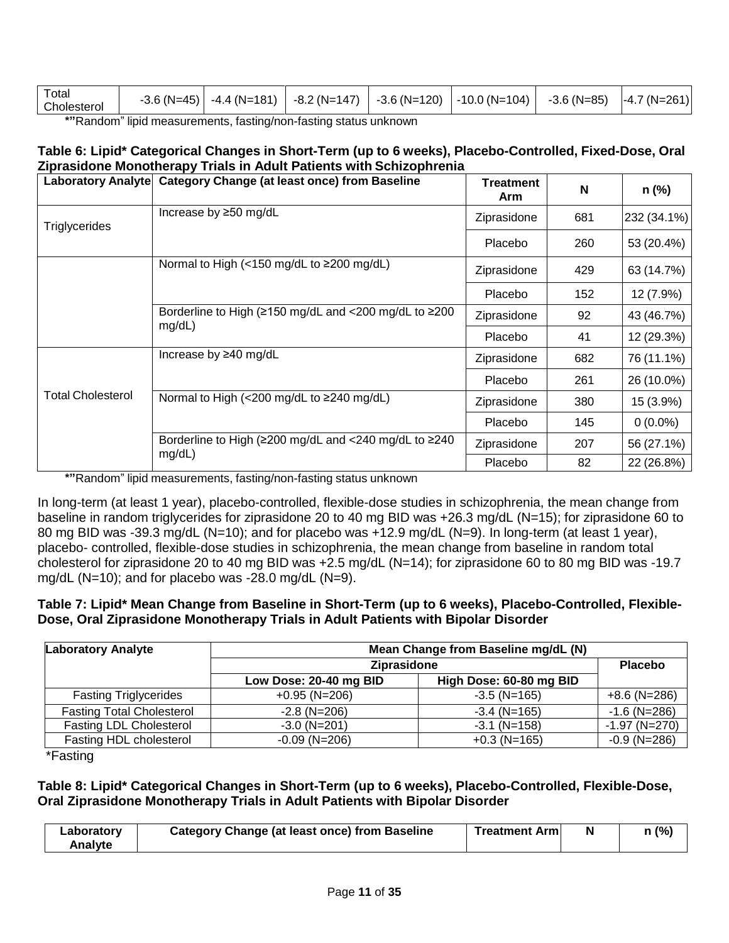**\*"**Random" lipid measurements, fasting/non-fasting status unknown

#### **Table 6: Lipid\* Categorical Changes in Short-Term (up to 6 weeks), Placebo-Controlled, Fixed-Dose, Oral Ziprasidone Monotherapy Trials in Adult Patients with Schizophrenia**

|                          | Laboratory Analyte Category Change (at least once) from Baseline | <b>Treatment</b><br>Arm | N   | n (%)       |
|--------------------------|------------------------------------------------------------------|-------------------------|-----|-------------|
| Triglycerides            | Increase by ≥50 mg/dL                                            | Ziprasidone             | 681 | 232 (34.1%) |
|                          |                                                                  | Placebo                 | 260 | 53 (20.4%)  |
|                          | Normal to High (<150 mg/dL to ≥200 mg/dL)                        | Ziprasidone             | 429 | 63 (14.7%)  |
|                          |                                                                  | Placebo                 | 152 | 12 (7.9%)   |
|                          | Borderline to High (≥150 mg/dL and <200 mg/dL to ≥200            | Ziprasidone             | 92  | 43 (46.7%)  |
|                          | mg/dL)                                                           | Placebo                 | 41  | 12 (29.3%)  |
|                          | Increase by ≥40 mg/dL                                            | Ziprasidone             | 682 | 76 (11.1%)  |
|                          |                                                                  | Placebo                 | 261 | 26 (10.0%)  |
| <b>Total Cholesterol</b> | Normal to High (<200 mg/dL to ≥240 mg/dL)                        | Ziprasidone             | 380 | 15 (3.9%)   |
|                          |                                                                  | Placebo                 | 145 | $0(0.0\%)$  |
|                          | Borderline to High (≥200 mg/dL and <240 mg/dL to ≥240<br>mg/dL)  | Ziprasidone             | 207 | 56 (27.1%)  |
|                          |                                                                  | Placebo                 | 82  | 22 (26.8%)  |

**\*"**Random" lipid measurements, fasting/non-fasting status unknown

In long-term (at least 1 year), placebo-controlled, flexible-dose studies in schizophrenia, the mean change from baseline in random triglycerides for ziprasidone 20 to 40 mg BID was +26.3 mg/dL (N=15); for ziprasidone 60 to 80 mg BID was -39.3 mg/dL (N=10); and for placebo was +12.9 mg/dL (N=9). In long-term (at least 1 year), placebo- controlled, flexible-dose studies in schizophrenia, the mean change from baseline in random total cholesterol for ziprasidone 20 to 40 mg BID was +2.5 mg/dL (N=14); for ziprasidone 60 to 80 mg BID was -19.7 mg/dL (N=10); and for placebo was -28.0 mg/dL (N=9).

#### **Table 7: Lipid\* Mean Change from Baseline in Short-Term (up to 6 weeks), Placebo-Controlled, Flexible-Dose, Oral Ziprasidone Monotherapy Trials in Adult Patients with Bipolar Disorder**

| Mean Change from Baseline mg/dL (N)<br><b>Laboratory Analyte</b> |                        |                |                 |  |  |
|------------------------------------------------------------------|------------------------|----------------|-----------------|--|--|
|                                                                  | <b>Ziprasidone</b>     | <b>Placebo</b> |                 |  |  |
|                                                                  | Low Dose: 20-40 mg BID |                |                 |  |  |
| <b>Fasting Triglycerides</b>                                     | $+0.95$ (N=206)        | $-3.5$ (N=165) | $+8.6$ (N=286)  |  |  |
| <b>Fasting Total Cholesterol</b>                                 | $-2.8$ (N=206)         | $-3.4$ (N=165) | $-1.6$ (N=286)  |  |  |
| <b>Fasting LDL Cholesterol</b>                                   | $-3.0$ (N=201)         | $-3.1$ (N=158) | $-1.97$ (N=270) |  |  |
| Fasting HDL cholesterol                                          | $-0.09$ (N=206)        | $+0.3$ (N=165) | $-0.9$ (N=286)  |  |  |

\*Fasting

#### **Table 8: Lipid\* Categorical Changes in Short-Term (up to 6 weeks), Placebo-Controlled, Flexible-Dose, Oral Ziprasidone Monotherapy Trials in Adult Patients with Bipolar Disorder**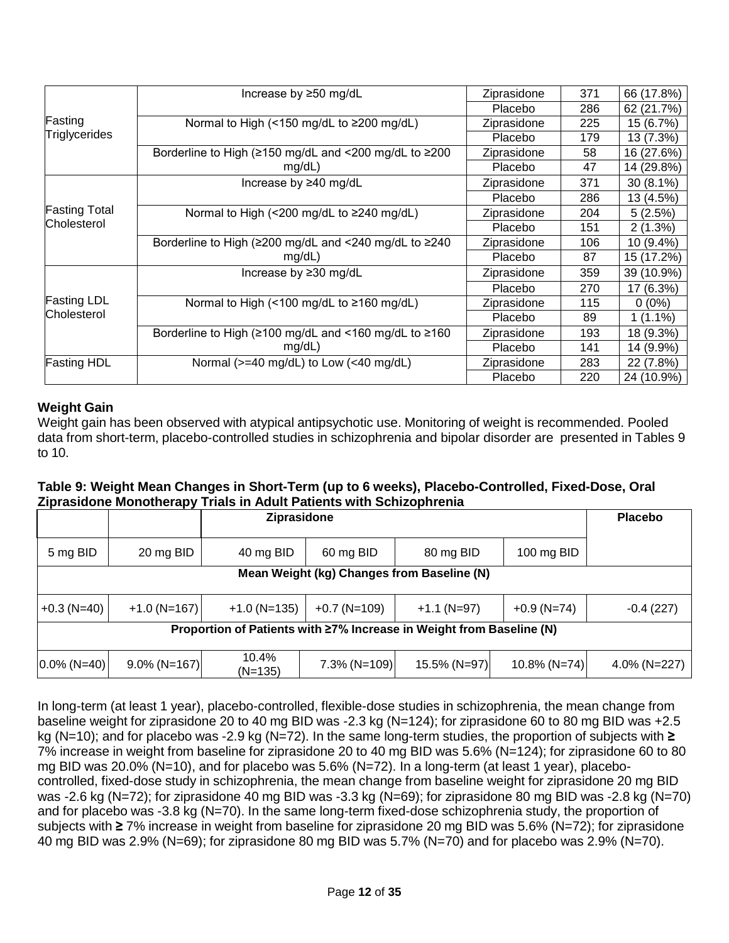|                                   | Increase by ≥50 mg/dL                                 | Ziprasidone    | 371 | 66 (17.8%)  |
|-----------------------------------|-------------------------------------------------------|----------------|-----|-------------|
|                                   |                                                       | <b>Placebo</b> | 286 | 62 (21.7%)  |
| Fasting                           | Normal to High (<150 mg/dL to ≥200 mg/dL)             | Ziprasidone    | 225 | 15 (6.7%)   |
| Triglycerides                     |                                                       | Placebo        | 179 | 13 (7.3%)   |
|                                   | Borderline to High (≥150 mg/dL and <200 mg/dL to ≥200 | Ziprasidone    | 58  | 16 (27.6%)  |
|                                   | $mg/dL$ )                                             | Placebo        | 47  | 14 (29.8%)  |
|                                   | Increase by ≥40 mg/dL                                 | Ziprasidone    | 371 | $30(8.1\%)$ |
|                                   |                                                       | Placebo        | 286 | 13 (4.5%)   |
| <b>Fasting Total</b>              | Normal to High (<200 mg/dL to ≥240 mg/dL)             | Ziprasidone    | 204 | 5(2.5%)     |
| Cholesterol                       |                                                       | Placebo        | 151 | 2(1.3%)     |
|                                   | Borderline to High (≥200 mg/dL and <240 mg/dL to ≥240 | Ziprasidone    | 106 | 10 (9.4%)   |
|                                   | $mg/dL$ )                                             | Placebo        | 87  | 15 (17.2%)  |
|                                   | Increase by ≥30 mg/dL                                 | Ziprasidone    | 359 | 39 (10.9%)  |
|                                   |                                                       | Placebo        | 270 | 17 (6.3%)   |
| <b>Fasting LDL</b><br>Cholesterol | Normal to High (<100 mg/dL to $\geq$ 160 mg/dL)       | Ziprasidone    | 115 | $0(0\%)$    |
|                                   |                                                       | Placebo        | 89  | $1(1.1\%)$  |
|                                   | Borderline to High (≥100 mg/dL and <160 mg/dL to ≥160 | Ziprasidone    | 193 | 18 (9.3%)   |
|                                   | mg/dL)                                                | Placebo        | 141 | 14 (9.9%)   |
| <b>Fasting HDL</b>                | Normal ( $>=$ 40 mg/dL) to Low ( $<$ 40 mg/dL)        | Ziprasidone    | 283 | 22 (7.8%)   |
|                                   |                                                       | Placebo        | 220 | 24 (10.9%)  |

### **Weight Gain**

Weight gain has been observed with atypical antipsychotic use. Monitoring of weight is recommended. Pooled data from short-term, placebo-controlled studies in schizophrenia and bipolar disorder are presented in Tables 9 to 10.

#### **Table 9: Weight Mean Changes in Short-Term (up to 6 weeks), Placebo-Controlled, Fixed-Dose, Oral Ziprasidone Monotherapy Trials in Adult Patients with Schizophrenia**

|                                                                      | $-$ . $-$ . $-$ . $-$ . $-$ . $-$ . $-$ . $-$ . $-$ . $-$ . | Ziprasidone      |                 |               | <b>Placebo</b>  |              |
|----------------------------------------------------------------------|-------------------------------------------------------------|------------------|-----------------|---------------|-----------------|--------------|
| 5 mg BID                                                             | 20 mg BID                                                   | 40 mg BID        | 60 mg BID       | 80 mg BID     | 100 mg BID      |              |
| Mean Weight (kg) Changes from Baseline (N)                           |                                                             |                  |                 |               |                 |              |
| $+0.3$ (N=40)                                                        | $+1.0$ (N=167)                                              | $+1.0$ (N=135)   | $+0.7$ (N=109)  | $+1.1$ (N=97) | $+0.9$ (N=74)   | $-0.4(227)$  |
| Proportion of Patients with ≥7% Increase in Weight from Baseline (N) |                                                             |                  |                 |               |                 |              |
| $ 0.0\%$ (N=40)                                                      | $9.0\%$ (N=167)                                             | 10.4%<br>(N=135) | $7.3\%$ (N=109) | 15.5% (N=97)  | $10.8\%$ (N=74) | 4.0% (N=227) |

In long-term (at least 1 year), placebo-controlled, flexible-dose studies in schizophrenia, the mean change from baseline weight for ziprasidone 20 to 40 mg BID was -2.3 kg (N=124); for ziprasidone 60 to 80 mg BID was +2.5 kg (N=10); and for placebo was -2.9 kg (N=72). In the same long-term studies, the proportion of subjects with **≥** 7% increase in weight from baseline for ziprasidone 20 to 40 mg BID was 5.6% (N=124); for ziprasidone 60 to 80 mg BID was 20.0% (N=10), and for placebo was 5.6% (N=72). In a long-term (at least 1 year), placebocontrolled, fixed-dose study in schizophrenia, the mean change from baseline weight for ziprasidone 20 mg BID was -2.6 kg (N=72); for ziprasidone 40 mg BID was -3.3 kg (N=69); for ziprasidone 80 mg BID was -2.8 kg (N=70) and for placebo was -3.8 kg (N=70). In the same long-term fixed-dose schizophrenia study, the proportion of subjects with ≥7% increase in weight from baseline for ziprasidone 20 mg BID was 5.6% (N=72); for ziprasidone 40 mg BID was 2.9% (N=69); for ziprasidone 80 mg BID was 5.7% (N=70) and for placebo was 2.9% (N=70).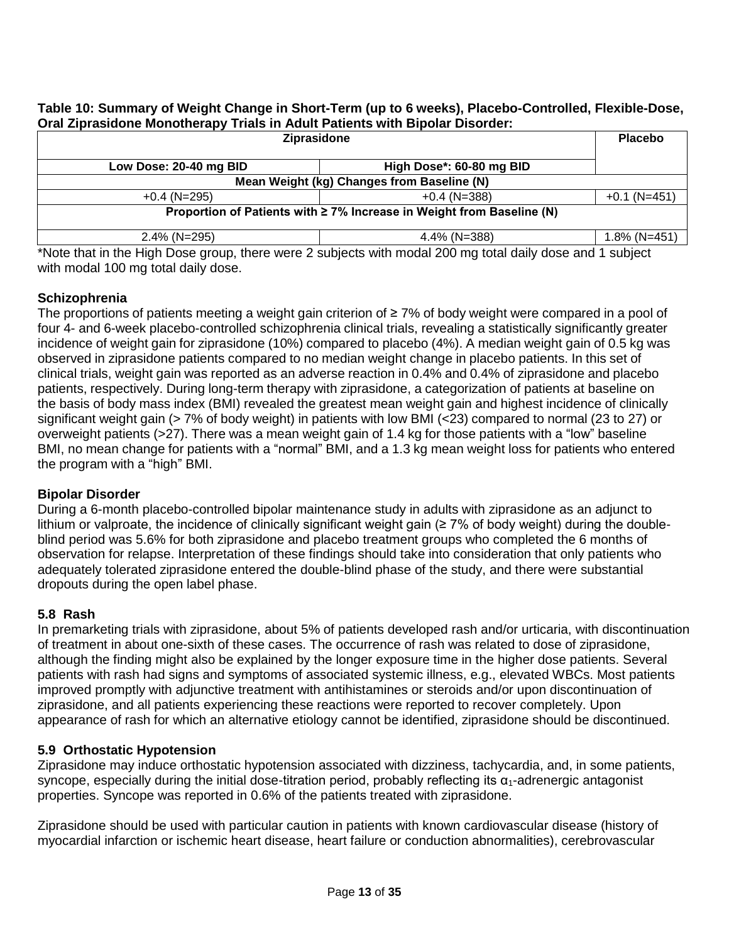#### **Table 10: Summary of Weight Change in Short-Term (up to 6 weeks), Placebo-Controlled, Flexible-Dose, Oral Ziprasidone Monotherapy Trials in Adult Patients with Bipolar Disorder:**

| <b>Ziprasidone</b>                                                    |                 |                   |  |
|-----------------------------------------------------------------------|-----------------|-------------------|--|
| Low Dose: 20-40 mg BID<br>High Dose*: 60-80 mg BID                    |                 |                   |  |
| Mean Weight (kg) Changes from Baseline (N)                            |                 |                   |  |
| $+0.4$ (N=295)<br>$+0.4$ (N=388)                                      |                 | (N=451)<br>$+0.1$ |  |
| Proportion of Patients with ≥ 7% Increase in Weight from Baseline (N) |                 |                   |  |
| $2.4\%$ (N=295)                                                       | $4.4\%$ (N=388) | I.8% (N=451)<br>. |  |

\*Note that in the High Dose group, there were 2 subjects with modal 200 mg total daily dose and 1 subject with modal 100 mg total daily dose.

### **Schizophrenia**

The proportions of patients meeting a weight gain criterion of ≥ 7% of body weight were compared in a pool of four 4- and 6-week placebo-controlled schizophrenia clinical trials, revealing a statistically significantly greater incidence of weight gain for ziprasidone (10%) compared to placebo (4%). A median weight gain of 0.5 kg was observed in ziprasidone patients compared to no median weight change in placebo patients. In this set of clinical trials, weight gain was reported as an adverse reaction in 0.4% and 0.4% of ziprasidone and placebo patients, respectively. During long-term therapy with ziprasidone, a categorization of patients at baseline on the basis of body mass index (BMI) revealed the greatest mean weight gain and highest incidence of clinically significant weight gain (> 7% of body weight) in patients with low BMI (<23) compared to normal (23 to 27) or overweight patients (>27). There was a mean weight gain of 1.4 kg for those patients with a "low" baseline BMI, no mean change for patients with a "normal" BMI, and a 1.3 kg mean weight loss for patients who entered the program with a "high" BMI.

#### **Bipolar Disorder**

During a 6-month placebo-controlled bipolar maintenance study in adults with ziprasidone as an adjunct to lithium or valproate, the incidence of clinically significant weight gain (≥ 7% of body weight) during the doubleblind period was 5.6% for both ziprasidone and placebo treatment groups who completed the 6 months of observation for relapse. Interpretation of these findings should take into consideration that only patients who adequately tolerated ziprasidone entered the double-blind phase of the study, and there were substantial dropouts during the open label phase.

#### <span id="page-12-0"></span>**5.8 Rash**

In premarketing trials with ziprasidone, about 5% of patients developed rash and/or urticaria, with discontinuation of treatment in about one-sixth of these cases. The occurrence of rash was related to dose of ziprasidone, although the finding might also be explained by the longer exposure time in the higher dose patients. Several patients with rash had signs and symptoms of associated systemic illness, e.g., elevated WBCs. Most patients improved promptly with adjunctive treatment with antihistamines or steroids and/or upon discontinuation of ziprasidone, and all patients experiencing these reactions were reported to recover completely. Upon appearance of rash for which an alternative etiology cannot be identified, ziprasidone should be discontinued.

#### <span id="page-12-1"></span>**5.9 Orthostatic Hypotension**

Ziprasidone may induce orthostatic hypotension associated with dizziness, tachycardia, and, in some patients, syncope, especially during the initial dose-titration period, probably reflecting its  $\alpha_1$ -adrenergic antagonist properties. Syncope was reported in 0.6% of the patients treated with ziprasidone.

Ziprasidone should be used with particular caution in patients with known cardiovascular disease (history of myocardial infarction or ischemic heart disease, heart failure or conduction abnormalities), cerebrovascular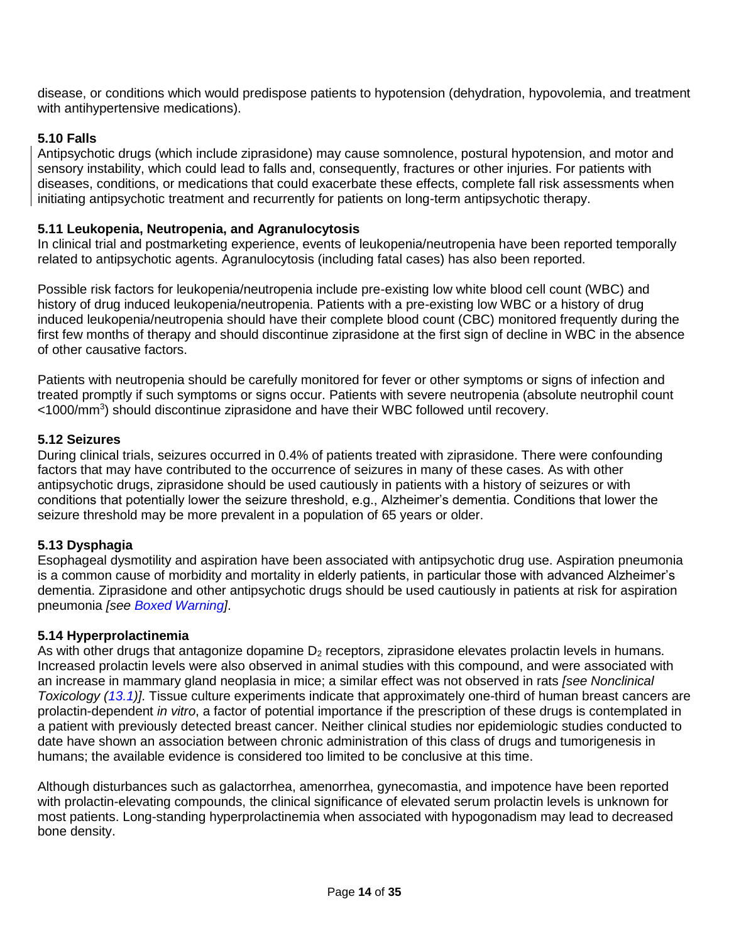disease, or conditions which would predispose patients to hypotension (dehydration, hypovolemia, and treatment with antihypertensive medications).

### <span id="page-13-3"></span>**5.10 Falls**

Antipsychotic drugs (which include ziprasidone) may cause somnolence, postural hypotension, and motor and sensory instability, which could lead to falls and, consequently, fractures or other injuries. For patients with diseases, conditions, or medications that could exacerbate these effects, complete fall risk assessments when initiating antipsychotic treatment and recurrently for patients on long-term antipsychotic therapy.

#### <span id="page-13-0"></span>**5.11 Leukopenia, Neutropenia, and Agranulocytosis**

In clinical trial and postmarketing experience, events of leukopenia/neutropenia have been reported temporally related to antipsychotic agents. Agranulocytosis (including fatal cases) has also been reported.

Possible risk factors for leukopenia/neutropenia include pre-existing low white blood cell count (WBC) and history of drug induced leukopenia/neutropenia. Patients with a pre-existing low WBC or a history of drug induced leukopenia/neutropenia should have their complete blood count (CBC) monitored frequently during the first few months of therapy and should discontinue ziprasidone at the first sign of decline in WBC in the absence of other causative factors.

Patients with neutropenia should be carefully monitored for fever or other symptoms or signs of infection and treated promptly if such symptoms or signs occur. Patients with severe neutropenia (absolute neutrophil count <1000/mm<sup>3</sup> ) should discontinue ziprasidone and have their WBC followed until recovery.

#### <span id="page-13-1"></span>**5.12 Seizures**

During clinical trials, seizures occurred in 0.4% of patients treated with ziprasidone. There were confounding factors that may have contributed to the occurrence of seizures in many of these cases. As with other antipsychotic drugs, ziprasidone should be used cautiously in patients with a history of seizures or with conditions that potentially lower the seizure threshold, e.g., Alzheimer's dementia. Conditions that lower the seizure threshold may be more prevalent in a population of 65 years or older.

#### <span id="page-13-2"></span>**5.13 Dysphagia**

Esophageal dysmotility and aspiration have been associated with antipsychotic drug use. Aspiration pneumonia is a common cause of morbidity and mortality in elderly patients, in particular those with advanced Alzheimer's dementia. Ziprasidone and other antipsychotic drugs should be used cautiously in patients at risk for aspiration pneumonia *[see [Boxed Warning\]](#page-3-2)*.

#### <span id="page-13-4"></span>**5.14 Hyperprolactinemia**

As with other drugs that antagonize dopamine  $D_2$  receptors, ziprasidone elevates prolactin levels in humans. Increased prolactin levels were also observed in animal studies with this compound, and were associated with an increase in mammary gland neoplasia in mice; a similar effect was not observed in rats *[see Nonclinical Toxicology [\(13.1\)](#page-26-1)]*. Tissue culture experiments indicate that approximately one-third of human breast cancers are prolactin-dependent *in vitro*, a factor of potential importance if the prescription of these drugs is contemplated in a patient with previously detected breast cancer. Neither clinical studies nor epidemiologic studies conducted to date have shown an association between chronic administration of this class of drugs and tumorigenesis in humans; the available evidence is considered too limited to be conclusive at this time.

Although disturbances such as galactorrhea, amenorrhea, gynecomastia, and impotence have been reported with prolactin-elevating compounds, the clinical significance of elevated serum prolactin levels is unknown for most patients. Long-standing hyperprolactinemia when associated with hypogonadism may lead to decreased bone density.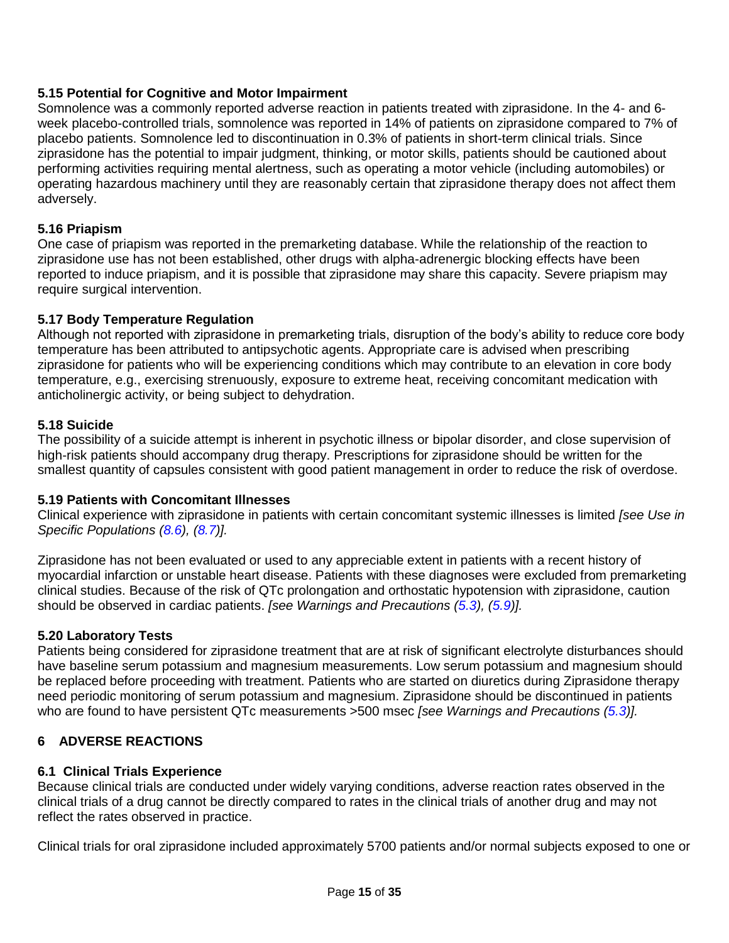### <span id="page-14-2"></span>**5.15 Potential for Cognitive and Motor Impairment**

Somnolence was a commonly reported adverse reaction in patients treated with ziprasidone. In the 4- and 6 week placebo-controlled trials, somnolence was reported in 14% of patients on ziprasidone compared to 7% of placebo patients. Somnolence led to discontinuation in 0.3% of patients in short-term clinical trials. Since ziprasidone has the potential to impair judgment, thinking, or motor skills, patients should be cautioned about performing activities requiring mental alertness, such as operating a motor vehicle (including automobiles) or operating hazardous machinery until they are reasonably certain that ziprasidone therapy does not affect them adversely.

#### <span id="page-14-3"></span>**5.16 Priapism**

One case of priapism was reported in the premarketing database. While the relationship of the reaction to ziprasidone use has not been established, other drugs with alpha-adrenergic blocking effects have been reported to induce priapism, and it is possible that ziprasidone may share this capacity. Severe priapism may require surgical intervention.

### <span id="page-14-4"></span>**5.17 Body Temperature Regulation**

Although not reported with ziprasidone in premarketing trials, disruption of the body's ability to reduce core body temperature has been attributed to antipsychotic agents. Appropriate care is advised when prescribing ziprasidone for patients who will be experiencing conditions which may contribute to an elevation in core body temperature, e.g., exercising strenuously, exposure to extreme heat, receiving concomitant medication with anticholinergic activity, or being subject to dehydration.

### <span id="page-14-0"></span>**5.18 Suicide**

The possibility of a suicide attempt is inherent in psychotic illness or bipolar disorder, and close supervision of high-risk patients should accompany drug therapy. Prescriptions for ziprasidone should be written for the smallest quantity of capsules consistent with good patient management in order to reduce the risk of overdose.

#### <span id="page-14-5"></span>**5.19 Patients with Concomitant Illnesses**

Clinical experience with ziprasidone in patients with certain concomitant systemic illnesses is limited *[see Use in Specific Populations [\(8.6\)](#page-23-2), [\(8.7\)](#page-23-3)].*

Ziprasidone has not been evaluated or used to any appreciable extent in patients with a recent history of myocardial infarction or unstable heart disease. Patients with these diagnoses were excluded from premarketing clinical studies. Because of the risk of QTc prolongation and orthostatic hypotension with ziprasidone, caution should be observed in cardiac patients. *[see Warnings and Precautions [\(5.3\)](#page-5-2), [\(5.9\)](#page-12-1)].*

#### <span id="page-14-6"></span>**5.20 Laboratory Tests**

Patients being considered for ziprasidone treatment that are at risk of significant electrolyte disturbances should have baseline serum potassium and magnesium measurements. Low serum potassium and magnesium should be replaced before proceeding with treatment. Patients who are started on diuretics during Ziprasidone therapy need periodic monitoring of serum potassium and magnesium. Ziprasidone should be discontinued in patients who are found to have persistent QTc measurements >500 msec *[see Warnings and Precautions [\(5.3\)](#page-5-2)].*

## <span id="page-14-7"></span>**6 ADVERSE REACTIONS**

#### <span id="page-14-1"></span>**6.1 Clinical Trials Experience**

Because clinical trials are conducted under widely varying conditions, adverse reaction rates observed in the clinical trials of a drug cannot be directly compared to rates in the clinical trials of another drug and may not reflect the rates observed in practice.

Clinical trials for oral ziprasidone included approximately 5700 patients and/or normal subjects exposed to one or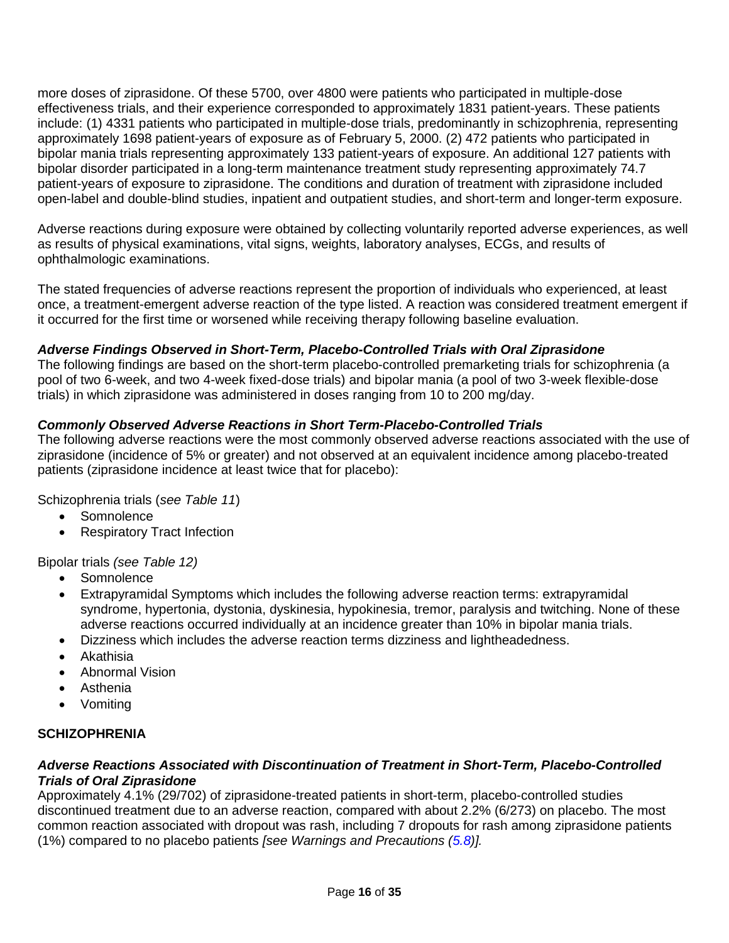more doses of ziprasidone. Of these 5700, over 4800 were patients who participated in multiple-dose effectiveness trials, and their experience corresponded to approximately 1831 patient-years. These patients include: (1) 4331 patients who participated in multiple-dose trials, predominantly in schizophrenia, representing approximately 1698 patient-years of exposure as of February 5, 2000. (2) 472 patients who participated in bipolar mania trials representing approximately 133 patient-years of exposure. An additional 127 patients with bipolar disorder participated in a long-term maintenance treatment study representing approximately 74.7 patient-years of exposure to ziprasidone. The conditions and duration of treatment with ziprasidone included open-label and double-blind studies, inpatient and outpatient studies, and short-term and longer-term exposure.

Adverse reactions during exposure were obtained by collecting voluntarily reported adverse experiences, as well as results of physical examinations, vital signs, weights, laboratory analyses, ECGs, and results of ophthalmologic examinations.

The stated frequencies of adverse reactions represent the proportion of individuals who experienced, at least once, a treatment-emergent adverse reaction of the type listed. A reaction was considered treatment emergent if it occurred for the first time or worsened while receiving therapy following baseline evaluation.

### *Adverse Findings Observed in Short-Term, Placebo-Controlled Trials with Oral Ziprasidone*

The following findings are based on the short-term placebo-controlled premarketing trials for schizophrenia (a pool of two 6-week, and two 4-week fixed-dose trials) and bipolar mania (a pool of two 3-week flexible-dose trials) in which ziprasidone was administered in doses ranging from 10 to 200 mg/day.

### *Commonly Observed Adverse Reactions in Short Term-Placebo-Controlled Trials*

The following adverse reactions were the most commonly observed adverse reactions associated with the use of ziprasidone (incidence of 5% or greater) and not observed at an equivalent incidence among placebo-treated patients (ziprasidone incidence at least twice that for placebo):

Schizophrenia trials (*see Table 11*)

- Somnolence
- Respiratory Tract Infection

Bipolar trials *(see Table 12)*

- Somnolence
- Extrapyramidal Symptoms which includes the following adverse reaction terms: extrapyramidal syndrome, hypertonia, dystonia, dyskinesia, hypokinesia, tremor, paralysis and twitching. None of these adverse reactions occurred individually at an incidence greater than 10% in bipolar mania trials.
- Dizziness which includes the adverse reaction terms dizziness and lightheadedness.
- Akathisia
- Abnormal Vision
- Asthenia
- Vomiting

## **SCHIZOPHRENIA**

#### *Adverse Reactions Associated with Discontinuation of Treatment in Short-Term, Placebo-Controlled Trials of Oral Ziprasidone*

Approximately 4.1% (29/702) of ziprasidone-treated patients in short-term, placebo-controlled studies discontinued treatment due to an adverse reaction, compared with about 2.2% (6/273) on placebo. The most common reaction associated with dropout was rash, including 7 dropouts for rash among ziprasidone patients (1%) compared to no placebo patients *[see Warnings and Precautions [\(5.8\)](#page-12-0)].*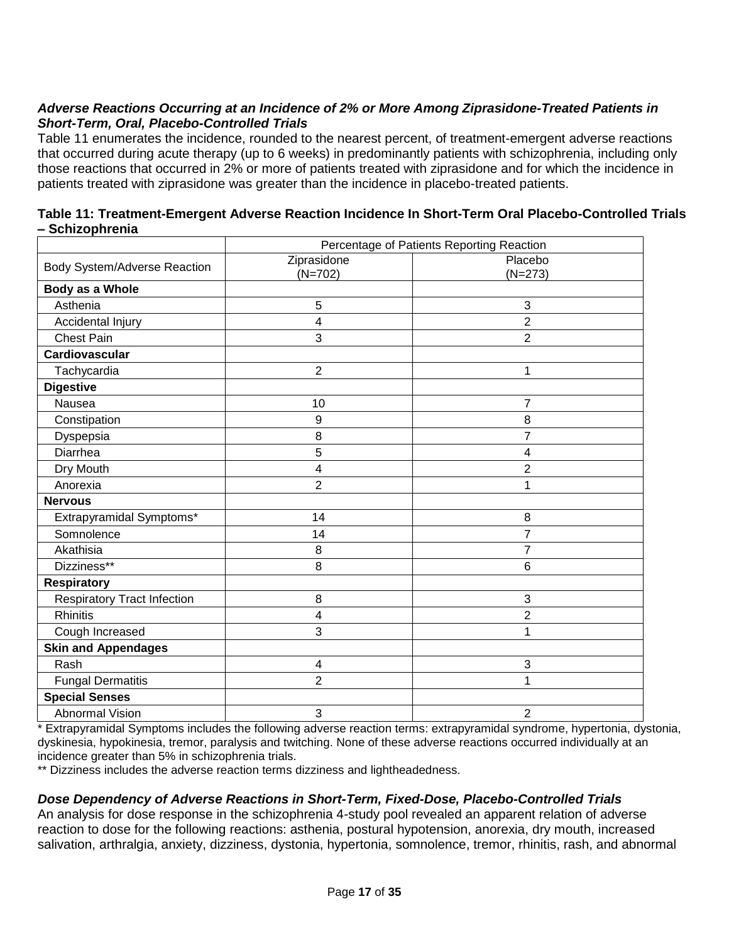### *Adverse Reactions Occurring at an Incidence of 2% or More Among Ziprasidone-Treated Patients in Short-Term, Oral, Placebo-Controlled Trials*

Table 11 enumerates the incidence, rounded to the nearest percent, of treatment-emergent adverse reactions that occurred during acute therapy (up to 6 weeks) in predominantly patients with schizophrenia, including only those reactions that occurred in 2% or more of patients treated with ziprasidone and for which the incidence in patients treated with ziprasidone was greater than the incidence in placebo-treated patients.

|                                     | Percentage of Patients Reporting Reaction |                 |  |
|-------------------------------------|-------------------------------------------|-----------------|--|
| <b>Body System/Adverse Reaction</b> | Ziprasidone                               | Placebo         |  |
| Body as a Whole                     | $(N=702)$                                 | $(N=273)$       |  |
| Asthenia                            | 5                                         | 3               |  |
|                                     |                                           |                 |  |
| Accidental Injury                   | 4                                         | $\overline{c}$  |  |
| <b>Chest Pain</b>                   | 3                                         | $\overline{2}$  |  |
| Cardiovascular                      |                                           |                 |  |
| Tachycardia                         | $\overline{2}$                            | 1               |  |
| <b>Digestive</b>                    |                                           |                 |  |
| Nausea                              | 10                                        | 7               |  |
| Constipation                        | 9                                         | 8               |  |
| Dyspepsia                           | 8                                         | $\overline{7}$  |  |
| Diarrhea                            | 5                                         | 4               |  |
| Dry Mouth                           | 4                                         | $\overline{2}$  |  |
| Anorexia                            | $\overline{2}$                            | 1               |  |
| <b>Nervous</b>                      |                                           |                 |  |
| Extrapyramidal Symptoms*            | 14                                        | 8               |  |
| Somnolence                          | 14                                        | 7               |  |
| Akathisia                           | 8                                         | $\overline{7}$  |  |
| Dizziness**                         | 8                                         | $6\phantom{1}6$ |  |
| <b>Respiratory</b>                  |                                           |                 |  |
| <b>Respiratory Tract Infection</b>  | 8                                         | 3               |  |
| Rhinitis                            | 4                                         | 2               |  |
| Cough Increased                     | 3                                         | 1               |  |
| <b>Skin and Appendages</b>          |                                           |                 |  |
| Rash                                | 4                                         | $\sqrt{3}$      |  |
| <b>Fungal Dermatitis</b>            | $\overline{2}$                            | 1               |  |
| <b>Special Senses</b>               |                                           |                 |  |
| Abnormal Vision                     | 3                                         | $\overline{2}$  |  |

**Table 11: Treatment-Emergent Adverse Reaction Incidence In Short-Term Oral Placebo-Controlled Trials – Schizophrenia** 

\* Extrapyramidal Symptoms includes the following adverse reaction terms: extrapyramidal syndrome, hypertonia, dystonia, dyskinesia, hypokinesia, tremor, paralysis and twitching. None of these adverse reactions occurred individually at an incidence greater than 5% in schizophrenia trials.

\*\* Dizziness includes the adverse reaction terms dizziness and lightheadedness.

## *Dose Dependency of Adverse Reactions in Short-Term, Fixed-Dose, Placebo-Controlled Trials*

An analysis for dose response in the schizophrenia 4-study pool revealed an apparent relation of adverse reaction to dose for the following reactions: asthenia, postural hypotension, anorexia, dry mouth, increased salivation, arthralgia, anxiety, dizziness, dystonia, hypertonia, somnolence, tremor, rhinitis, rash, and abnormal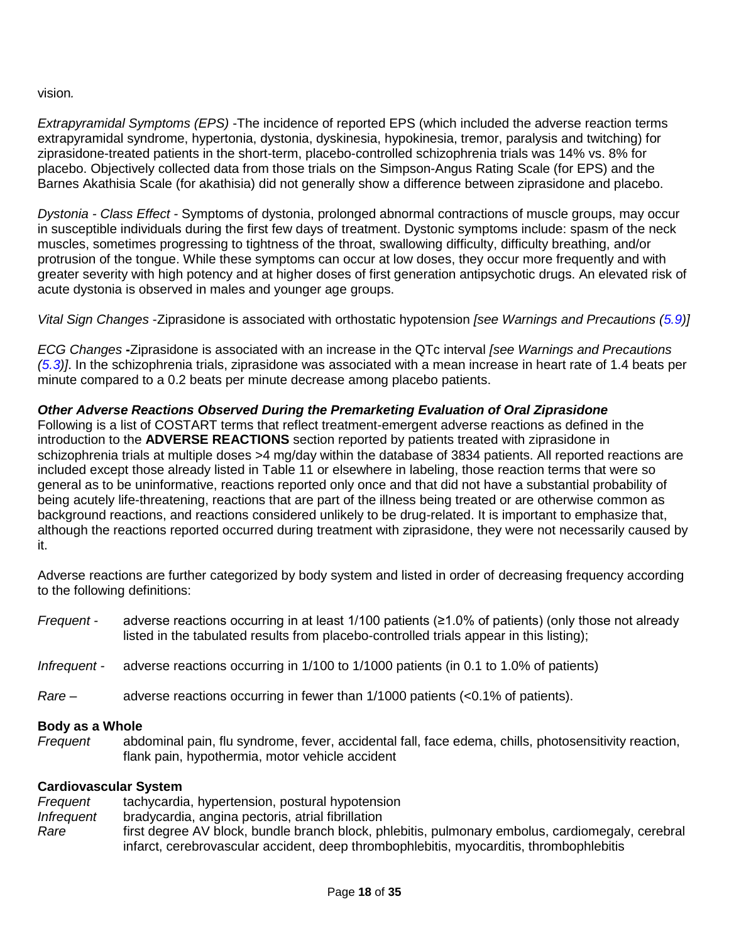vision*.*

*Extrapyramidal Symptoms (EPS)* -The incidence of reported EPS (which included the adverse reaction terms extrapyramidal syndrome, hypertonia, dystonia, dyskinesia, hypokinesia, tremor, paralysis and twitching) for ziprasidone-treated patients in the short-term, placebo-controlled schizophrenia trials was 14% vs. 8% for placebo. Objectively collected data from those trials on the Simpson-Angus Rating Scale (for EPS) and the Barnes Akathisia Scale (for akathisia) did not generally show a difference between ziprasidone and placebo.

*Dystonia - Class Effect -* Symptoms of dystonia, prolonged abnormal contractions of muscle groups, may occur in susceptible individuals during the first few days of treatment. Dystonic symptoms include: spasm of the neck muscles, sometimes progressing to tightness of the throat, swallowing difficulty, difficulty breathing, and/or protrusion of the tongue. While these symptoms can occur at low doses, they occur more frequently and with greater severity with high potency and at higher doses of first generation antipsychotic drugs. An elevated risk of acute dystonia is observed in males and younger age groups.

*Vital Sign Changes* -Ziprasidone is associated with orthostatic hypotension *[see Warnings and Precautions [\(5.9\)](#page-12-1)]*

*ECG Changes* **-**Ziprasidone is associated with an increase in the QTc interval *[see Warnings and Precautions [\(5.3\)](#page-5-2)]*. In the schizophrenia trials, ziprasidone was associated with a mean increase in heart rate of 1.4 beats per minute compared to a 0.2 beats per minute decrease among placebo patients.

### *Other Adverse Reactions Observed During the Premarketing Evaluation of Oral Ziprasidone*

Following is a list of COSTART terms that reflect treatment-emergent adverse reactions as defined in the introduction to the **ADVERSE REACTIONS** section reported by patients treated with ziprasidone in schizophrenia trials at multiple doses >4 mg/day within the database of 3834 patients. All reported reactions are included except those already listed in Table 11 or elsewhere in labeling, those reaction terms that were so general as to be uninformative, reactions reported only once and that did not have a substantial probability of being acutely life-threatening, reactions that are part of the illness being treated or are otherwise common as background reactions, and reactions considered unlikely to be drug-related. It is important to emphasize that, although the reactions reported occurred during treatment with ziprasidone, they were not necessarily caused by it.

Adverse reactions are further categorized by body system and listed in order of decreasing frequency according to the following definitions:

| Body as a Whole |                                                                                                                                                                                                         |  |
|-----------------|---------------------------------------------------------------------------------------------------------------------------------------------------------------------------------------------------------|--|
| Rare –          | adverse reactions occurring in fewer than $1/1000$ patients (< $0.1\%$ of patients).                                                                                                                    |  |
| Infrequent -    | adverse reactions occurring in 1/100 to 1/1000 patients (in 0.1 to 1.0% of patients)                                                                                                                    |  |
| Frequent -      | adverse reactions occurring in at least $1/100$ patients ( $\geq 1.0\%$ of patients) (only those not already<br>listed in the tabulated results from placebo-controlled trials appear in this listing); |  |

### *Frequent* abdominal pain, flu syndrome, fever, accidental fall, face edema, chills, photosensitivity reaction, flank pain, hypothermia, motor vehicle accident

#### **Cardiovascular System**

| Frequent          | tachycardia, hypertension, postural hypotension                                                  |
|-------------------|--------------------------------------------------------------------------------------------------|
| <i>Infrequent</i> | bradycardia, angina pectoris, atrial fibrillation                                                |
| Rare              | first degree AV block, bundle branch block, phlebitis, pulmonary embolus, cardiomegaly, cerebral |
|                   | infarct, cerebrovascular accident, deep thrombophlebitis, myocarditis, thrombophlebitis          |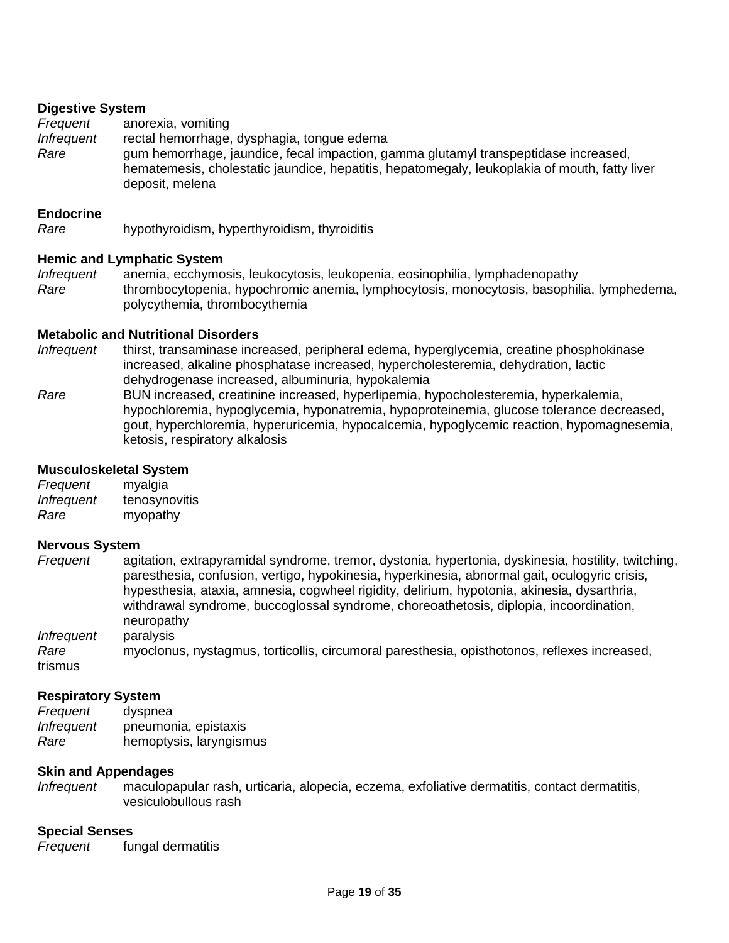#### **Digestive System**

| Frequent          | anorexia, vomiting                                                                                                                                                                                      |
|-------------------|---------------------------------------------------------------------------------------------------------------------------------------------------------------------------------------------------------|
| <i>Infrequent</i> | rectal hemorrhage, dysphagia, tongue edema                                                                                                                                                              |
| Rare              | gum hemorrhage, jaundice, fecal impaction, gamma glutamyl transpeptidase increased,<br>hematemesis, cholestatic jaundice, hepatitis, hepatomegaly, leukoplakia of mouth, fatty liver<br>deposit, melena |

#### **Endocrine**

*Rare* hypothyroidism, hyperthyroidism, thyroiditis

#### **Hemic and Lymphatic System**

*Infrequent* anemia, ecchymosis, leukocytosis, leukopenia, eosinophilia, lymphadenopathy *Rare* thrombocytopenia, hypochromic anemia, lymphocytosis, monocytosis, basophilia, lymphedema, polycythemia, thrombocythemia

#### **Metabolic and Nutritional Disorders**

- *Infrequent* thirst, transaminase increased, peripheral edema, hyperglycemia, creatine phosphokinase increased, alkaline phosphatase increased, hypercholesteremia, dehydration, lactic dehydrogenase increased, albuminuria, hypokalemia
- *Rare* BUN increased, creatinine increased, hyperlipemia, hypocholesteremia, hyperkalemia, hypochloremia, hypoglycemia, hyponatremia, hypoproteinemia, glucose tolerance decreased, gout, hyperchloremia, hyperuricemia, hypocalcemia, hypoglycemic reaction, hypomagnesemia, ketosis, respiratory alkalosis

#### **Musculoskeletal System**

| Frequent   | myalgia       |
|------------|---------------|
| Infrequent | tenosynovitis |
| Rare       | myopathy      |

#### **Nervous System**

- *Frequent* agitation, extrapyramidal syndrome, tremor, dystonia, hypertonia, dyskinesia, hostility, twitching, paresthesia, confusion, vertigo, hypokinesia, hyperkinesia, abnormal gait, oculogyric crisis, hypesthesia, ataxia, amnesia, cogwheel rigidity, delirium, hypotonia, akinesia, dysarthria, withdrawal syndrome, buccoglossal syndrome, choreoathetosis, diplopia, incoordination, neuropathy *Infrequent* paralysis
- *Rare* myoclonus, nystagmus, torticollis, circumoral paresthesia, opisthotonos, reflexes increased, trismus

#### **Respiratory System**

| Frequent   | dyspnea                 |
|------------|-------------------------|
| Infrequent | pneumonia, epistaxis    |
| Rare       | hemoptysis, laryngismus |

#### **Skin and Appendages**

*Infrequent* maculopapular rash, urticaria, alopecia, eczema, exfoliative dermatitis, contact dermatitis, vesiculobullous rash

#### **Special Senses**

*Frequent* fungal dermatitis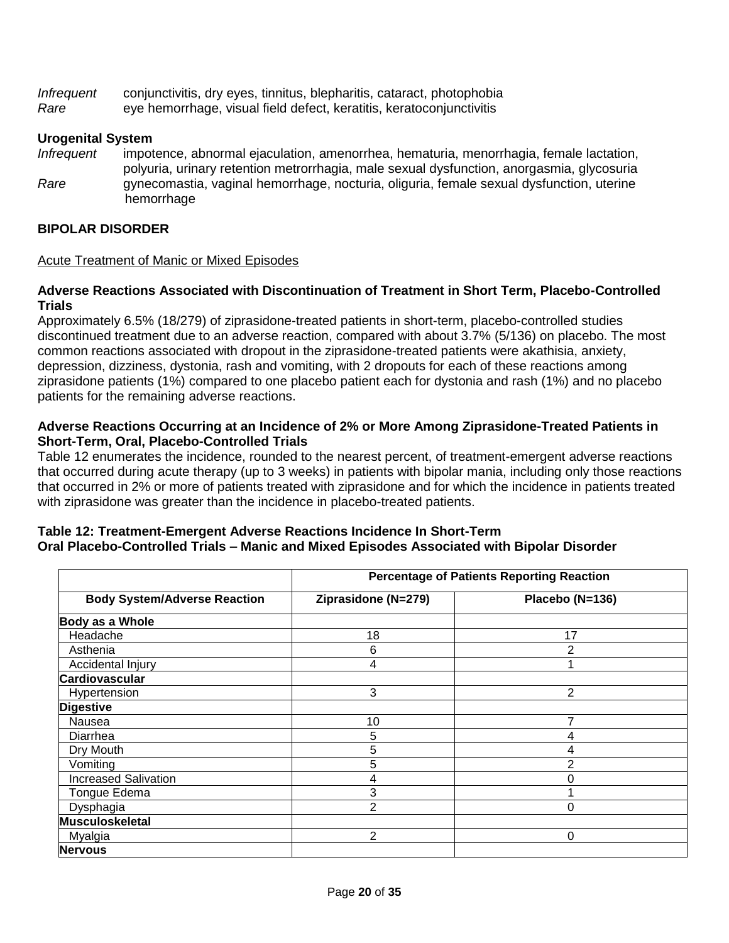| Infrequent | conjunctivitis, dry eyes, tinnitus, blepharitis, cataract, photophobia |
|------------|------------------------------------------------------------------------|
| Rare       | eye hemorrhage, visual field defect, keratitis, keratoconjunctivitis   |

#### **Urogenital System**

*Infrequent* impotence, abnormal ejaculation, amenorrhea, hematuria, menorrhagia, female lactation, polyuria, urinary retention metrorrhagia, male sexual dysfunction, anorgasmia, glycosuria *Rare* gynecomastia, vaginal hemorrhage, nocturia, oliguria, female sexual dysfunction, uterine hemorrhage

#### **BIPOLAR DISORDER**

#### Acute Treatment of Manic or Mixed Episodes

#### **Adverse Reactions Associated with Discontinuation of Treatment in Short Term, Placebo-Controlled Trials**

Approximately 6.5% (18/279) of ziprasidone-treated patients in short-term, placebo-controlled studies discontinued treatment due to an adverse reaction, compared with about 3.7% (5/136) on placebo. The most common reactions associated with dropout in the ziprasidone-treated patients were akathisia, anxiety, depression, dizziness, dystonia, rash and vomiting, with 2 dropouts for each of these reactions among ziprasidone patients (1%) compared to one placebo patient each for dystonia and rash (1%) and no placebo patients for the remaining adverse reactions.

#### **Adverse Reactions Occurring at an Incidence of 2% or More Among Ziprasidone-Treated Patients in Short-Term, Oral, Placebo-Controlled Trials**

Table 12 enumerates the incidence, rounded to the nearest percent, of treatment-emergent adverse reactions that occurred during acute therapy (up to 3 weeks) in patients with bipolar mania, including only those reactions that occurred in 2% or more of patients treated with ziprasidone and for which the incidence in patients treated with ziprasidone was greater than the incidence in placebo-treated patients.

#### **Table 12: Treatment-Emergent Adverse Reactions Incidence In Short-Term Oral Placebo-Controlled Trials – Manic and Mixed Episodes Associated with Bipolar Disorder**

|                                     | <b>Percentage of Patients Reporting Reaction</b> |                 |  |
|-------------------------------------|--------------------------------------------------|-----------------|--|
| <b>Body System/Adverse Reaction</b> | Ziprasidone (N=279)                              | Placebo (N=136) |  |
| Body as a Whole                     |                                                  |                 |  |
| Headache                            | 18                                               | 17              |  |
| Asthenia                            | 6                                                | 2               |  |
| Accidental Injury                   | 4                                                |                 |  |
| <b>Cardiovascular</b>               |                                                  |                 |  |
| Hypertension                        | 3                                                | 2               |  |
| <b>Digestive</b>                    |                                                  |                 |  |
| Nausea                              | 10                                               |                 |  |
| Diarrhea                            | 5                                                |                 |  |
| Dry Mouth                           | 5                                                |                 |  |
| Vomiting                            | 5                                                | 2               |  |
| <b>Increased Salivation</b>         | 4                                                |                 |  |
| Tongue Edema                        | 3                                                |                 |  |
| Dysphagia                           | 2                                                | 0               |  |
| Musculoskeletal                     |                                                  |                 |  |
| Myalgia                             | 2                                                | 0               |  |
| <b>Nervous</b>                      |                                                  |                 |  |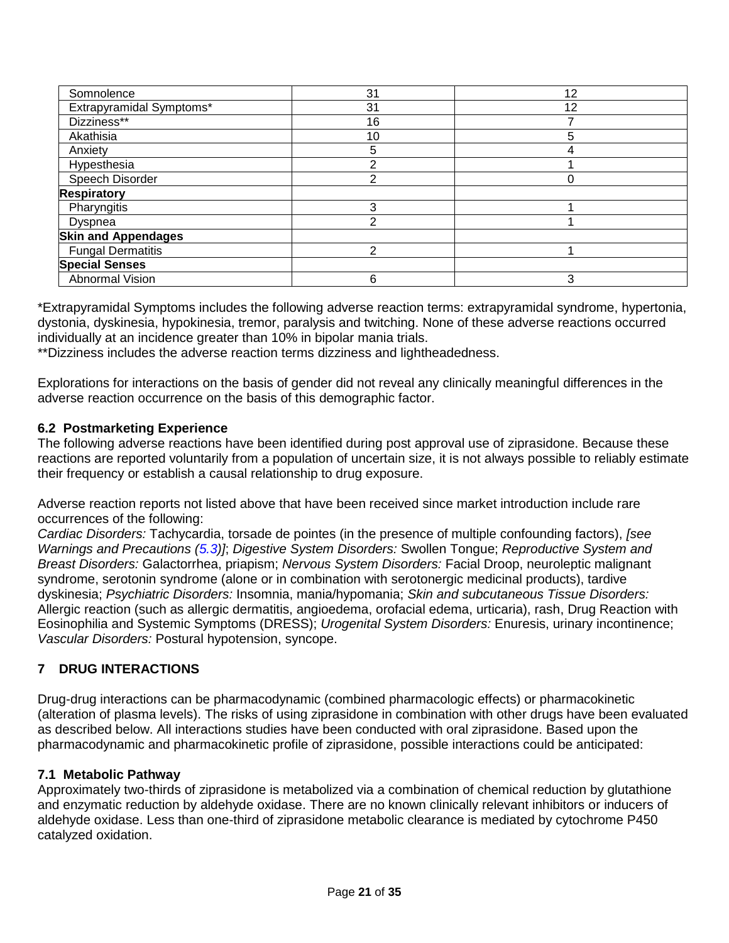| Somnolence                 | 31 | 12 |
|----------------------------|----|----|
| Extrapyramidal Symptoms*   | 31 | 12 |
| Dizziness**                | 16 |    |
| Akathisia                  | 10 | 5  |
| Anxiety                    | 5  |    |
| Hypesthesia                | ົ  |    |
| Speech Disorder            | ⌒  |    |
| <b>Respiratory</b>         |    |    |
| Pharyngitis                | 3  |    |
| Dyspnea                    | າ  |    |
| <b>Skin and Appendages</b> |    |    |
| <b>Fungal Dermatitis</b>   | ⌒  |    |
| <b>Special Senses</b>      |    |    |
| Abnormal Vision            | 6  | 3  |

\*Extrapyramidal Symptoms includes the following adverse reaction terms: extrapyramidal syndrome, hypertonia, dystonia, dyskinesia, hypokinesia, tremor, paralysis and twitching. None of these adverse reactions occurred individually at an incidence greater than 10% in bipolar mania trials.

\*\*Dizziness includes the adverse reaction terms dizziness and lightheadedness.

Explorations for interactions on the basis of gender did not reveal any clinically meaningful differences in the adverse reaction occurrence on the basis of this demographic factor.

#### <span id="page-20-1"></span>**6.2 Postmarketing Experience**

The following adverse reactions have been identified during post approval use of ziprasidone. Because these reactions are reported voluntarily from a population of uncertain size, it is not always possible to reliably estimate their frequency or establish a causal relationship to drug exposure.

Adverse reaction reports not listed above that have been received since market introduction include rare occurrences of the following:

*Cardiac Disorders:* Tachycardia, torsade de pointes (in the presence of multiple confounding factors), *[see Warnings and Precautions [\(5.3\)](#page-5-2)]*; *Digestive System Disorders:* Swollen Tongue; *Reproductive System and Breast Disorders:* Galactorrhea, priapism; *Nervous System Disorders:* Facial Droop, neuroleptic malignant syndrome, serotonin syndrome (alone or in combination with serotonergic medicinal products), tardive dyskinesia; *Psychiatric Disorders:* Insomnia, mania/hypomania; *Skin and subcutaneous Tissue Disorders:* Allergic reaction (such as allergic dermatitis, angioedema, orofacial edema, urticaria), rash, Drug Reaction with Eosinophilia and Systemic Symptoms (DRESS); *Urogenital System Disorders:* Enuresis, urinary incontinence; *Vascular Disorders:* Postural hypotension, syncope.

## <span id="page-20-0"></span>**7 DRUG INTERACTIONS**

Drug-drug interactions can be pharmacodynamic (combined pharmacologic effects) or pharmacokinetic (alteration of plasma levels). The risks of using ziprasidone in combination with other drugs have been evaluated as described below. All interactions studies have been conducted with oral ziprasidone. Based upon the pharmacodynamic and pharmacokinetic profile of ziprasidone, possible interactions could be anticipated:

#### <span id="page-20-2"></span>**7.1 Metabolic Pathway**

Approximately two-thirds of ziprasidone is metabolized via a combination of chemical reduction by glutathione and enzymatic reduction by aldehyde oxidase. There are no known clinically relevant inhibitors or inducers of aldehyde oxidase. Less than one-third of ziprasidone metabolic clearance is mediated by cytochrome P450 catalyzed oxidation.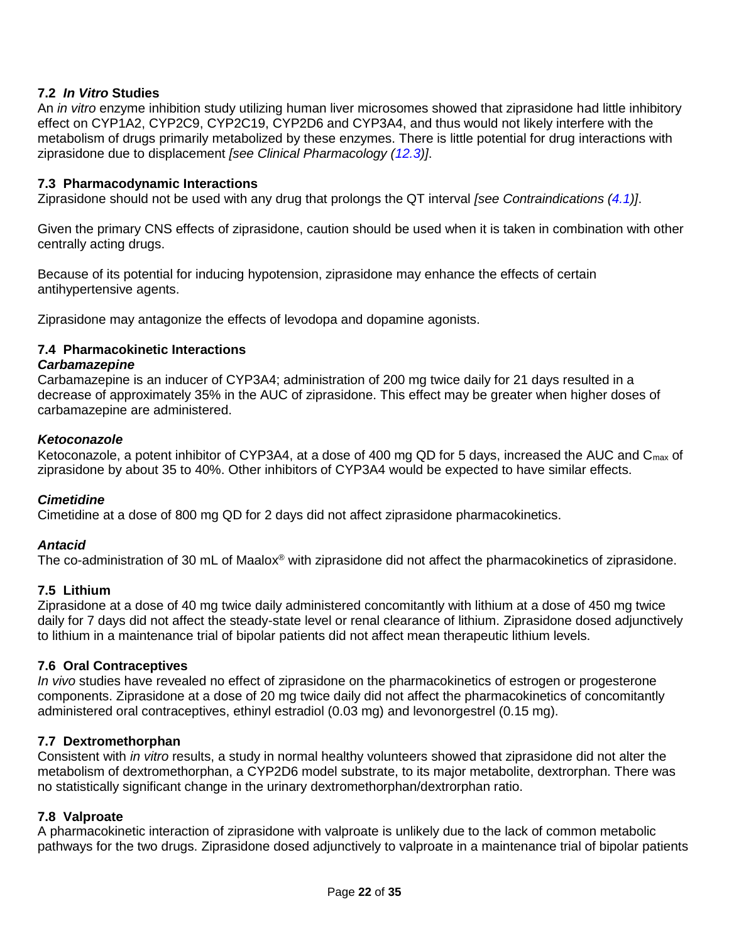#### <span id="page-21-1"></span>**7.2** *In Vitro* **Studies**

An *in vitro* enzyme inhibition study utilizing human liver microsomes showed that ziprasidone had little inhibitory effect on CYP1A2, CYP2C9, CYP2C19, CYP2D6 and CYP3A4, and thus would not likely interfere with the metabolism of drugs primarily metabolized by these enzymes. There is little potential for drug interactions with ziprasidone due to displacement *[see Clinical Pharmacology [\(12.3\)](#page-25-3)]*.

#### <span id="page-21-0"></span>**7.3 Pharmacodynamic Interactions**

Ziprasidone should not be used with any drug that prolongs the QT interval *[see Contraindications [\(4.1\)](#page-4-3)]*.

Given the primary CNS effects of ziprasidone, caution should be used when it is taken in combination with other centrally acting drugs.

Because of its potential for inducing hypotension, ziprasidone may enhance the effects of certain antihypertensive agents.

Ziprasidone may antagonize the effects of levodopa and dopamine agonists.

# <span id="page-21-2"></span>**7.4 Pharmacokinetic Interactions**

#### *Carbamazepine*

Carbamazepine is an inducer of CYP3A4; administration of 200 mg twice daily for 21 days resulted in a decrease of approximately 35% in the AUC of ziprasidone. This effect may be greater when higher doses of carbamazepine are administered.

#### *Ketoconazole*

Ketoconazole, a potent inhibitor of CYP3A4, at a dose of 400 mg QD for 5 days, increased the AUC and  $C_{\text{max}}$  of ziprasidone by about 35 to 40%. Other inhibitors of CYP3A4 would be expected to have similar effects.

#### *Cimetidine*

Cimetidine at a dose of 800 mg QD for 2 days did not affect ziprasidone pharmacokinetics.

#### *Antacid*

The co-administration of 30 mL of Maalox® with ziprasidone did not affect the pharmacokinetics of ziprasidone.

#### <span id="page-21-3"></span>**7.5 Lithium**

Ziprasidone at a dose of 40 mg twice daily administered concomitantly with lithium at a dose of 450 mg twice daily for 7 days did not affect the steady-state level or renal clearance of lithium. Ziprasidone dosed adjunctively to lithium in a maintenance trial of bipolar patients did not affect mean therapeutic lithium levels.

#### <span id="page-21-4"></span>**7.6 Oral Contraceptives**

*In vivo* studies have revealed no effect of ziprasidone on the pharmacokinetics of estrogen or progesterone components. Ziprasidone at a dose of 20 mg twice daily did not affect the pharmacokinetics of concomitantly administered oral contraceptives, ethinyl estradiol (0.03 mg) and levonorgestrel (0.15 mg).

#### <span id="page-21-5"></span>**7.7 Dextromethorphan**

Consistent with *in vitro* results, a study in normal healthy volunteers showed that ziprasidone did not alter the metabolism of dextromethorphan, a CYP2D6 model substrate, to its major metabolite, dextrorphan. There was no statistically significant change in the urinary dextromethorphan/dextrorphan ratio.

#### <span id="page-21-6"></span>**7.8 Valproate**

A pharmacokinetic interaction of ziprasidone with valproate is unlikely due to the lack of common metabolic pathways for the two drugs. Ziprasidone dosed adjunctively to valproate in a maintenance trial of bipolar patients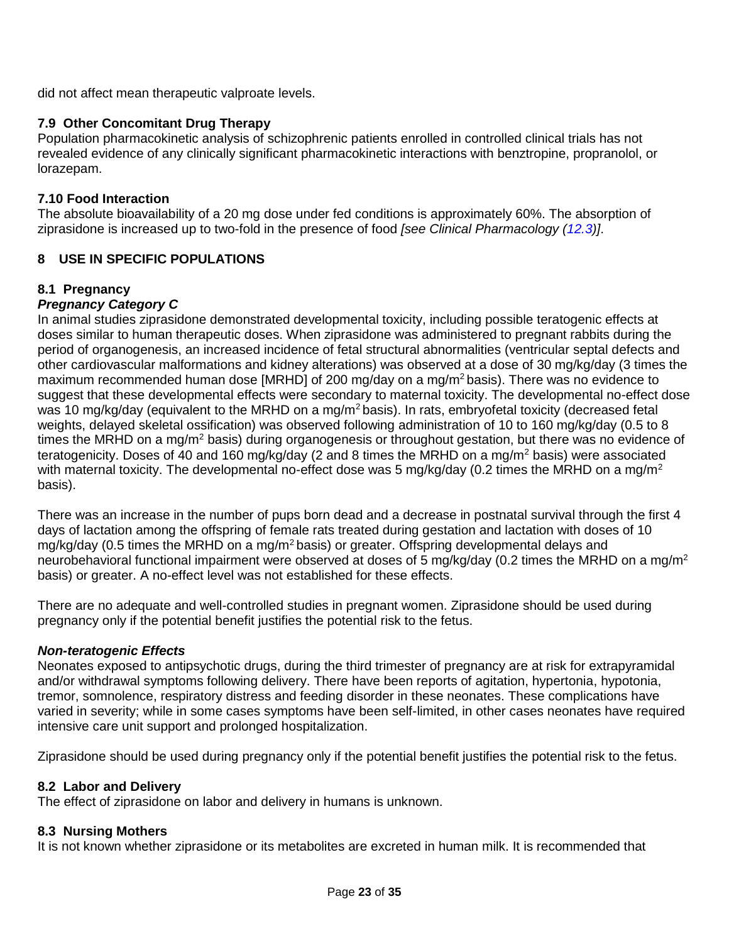did not affect mean therapeutic valproate levels.

### <span id="page-22-3"></span>**7.9 Other Concomitant Drug Therapy**

Population pharmacokinetic analysis of schizophrenic patients enrolled in controlled clinical trials has not revealed evidence of any clinically significant pharmacokinetic interactions with benztropine, propranolol, or lorazepam.

### <span id="page-22-0"></span>**7.10 Food Interaction**

The absolute bioavailability of a 20 mg dose under fed conditions is approximately 60%. The absorption of ziprasidone is increased up to two-fold in the presence of food *[see Clinical Pharmacology [\(12.3\)](#page-25-3)]*.

### <span id="page-22-4"></span>**8 USE IN SPECIFIC POPULATIONS**

### <span id="page-22-1"></span>**8.1 Pregnancy**

## *Pregnancy Category C*

In animal studies ziprasidone demonstrated developmental toxicity, including possible teratogenic effects at doses similar to human therapeutic doses. When ziprasidone was administered to pregnant rabbits during the period of organogenesis, an increased incidence of fetal structural abnormalities (ventricular septal defects and other cardiovascular malformations and kidney alterations) was observed at a dose of 30 mg/kg/day (3 times the maximum recommended human dose [MRHD] of 200 mg/day on a mg/m<sup>2</sup> basis). There was no evidence to suggest that these developmental effects were secondary to maternal toxicity. The developmental no-effect dose was 10 mg/kg/day (equivalent to the MRHD on a mg/m<sup>2</sup> basis). In rats, embryofetal toxicity (decreased fetal weights, delayed skeletal ossification) was observed following administration of 10 to 160 mg/kg/day (0.5 to 8 times the MRHD on a mg/m<sup>2</sup> basis) during organogenesis or throughout gestation, but there was no evidence of teratogenicity. Doses of 40 and 160 mg/kg/day (2 and 8 times the MRHD on a mg/m<sup>2</sup> basis) were associated with maternal toxicity. The developmental no-effect dose was 5 mg/kg/day (0.2 times the MRHD on a mg/m<sup>2</sup> basis).

There was an increase in the number of pups born dead and a decrease in postnatal survival through the first 4 days of lactation among the offspring of female rats treated during gestation and lactation with doses of 10 mg/kg/day (0.5 times the MRHD on a mg/m<sup>2</sup> basis) or greater. Offspring developmental delays and neurobehavioral functional impairment were observed at doses of 5 mg/kg/day (0.2 times the MRHD on a mg/m<sup>2</sup> basis) or greater. A no-effect level was not established for these effects.

There are no adequate and well-controlled studies in pregnant women. Ziprasidone should be used during pregnancy only if the potential benefit justifies the potential risk to the fetus.

#### *Non-teratogenic Effects*

Neonates exposed to antipsychotic drugs, during the third trimester of pregnancy are at risk for extrapyramidal and/or withdrawal symptoms following delivery. There have been reports of agitation, hypertonia, hypotonia, tremor, somnolence, respiratory distress and feeding disorder in these neonates. These complications have varied in severity; while in some cases symptoms have been self-limited, in other cases neonates have required intensive care unit support and prolonged hospitalization.

Ziprasidone should be used during pregnancy only if the potential benefit justifies the potential risk to the fetus.

#### <span id="page-22-5"></span>**8.2 Labor and Delivery**

The effect of ziprasidone on labor and delivery in humans is unknown.

#### <span id="page-22-2"></span>**8.3 Nursing Mothers**

It is not known whether ziprasidone or its metabolites are excreted in human milk. It is recommended that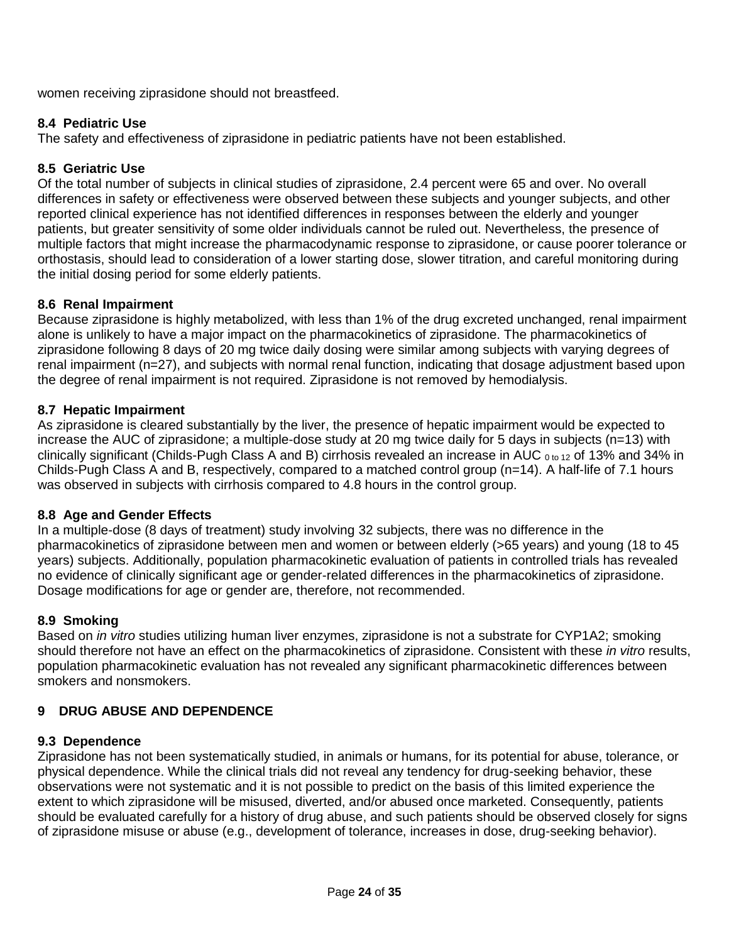women receiving ziprasidone should not breastfeed.

## <span id="page-23-0"></span>**8.4 Pediatric Use**

The safety and effectiveness of ziprasidone in pediatric patients have not been established.

## <span id="page-23-1"></span>**8.5 Geriatric Use**

Of the total number of subjects in clinical studies of ziprasidone, 2.4 percent were 65 and over. No overall differences in safety or effectiveness were observed between these subjects and younger subjects, and other reported clinical experience has not identified differences in responses between the elderly and younger patients, but greater sensitivity of some older individuals cannot be ruled out. Nevertheless, the presence of multiple factors that might increase the pharmacodynamic response to ziprasidone, or cause poorer tolerance or orthostasis, should lead to consideration of a lower starting dose, slower titration, and careful monitoring during the initial dosing period for some elderly patients.

## <span id="page-23-2"></span>**8.6 Renal Impairment**

Because ziprasidone is highly metabolized, with less than 1% of the drug excreted unchanged, renal impairment alone is unlikely to have a major impact on the pharmacokinetics of ziprasidone. The pharmacokinetics of ziprasidone following 8 days of 20 mg twice daily dosing were similar among subjects with varying degrees of renal impairment (n=27), and subjects with normal renal function, indicating that dosage adjustment based upon the degree of renal impairment is not required. Ziprasidone is not removed by hemodialysis.

### <span id="page-23-3"></span>**8.7 Hepatic Impairment**

As ziprasidone is cleared substantially by the liver, the presence of hepatic impairment would be expected to increase the AUC of ziprasidone; a multiple-dose study at 20 mg twice daily for 5 days in subjects (n=13) with clinically significant (Childs-Pugh Class A and B) cirrhosis revealed an increase in AUC  $_{0 \text{ to } 12}$  of 13% and 34% in Childs-Pugh Class A and B, respectively, compared to a matched control group (n=14). A half-life of 7.1 hours was observed in subjects with cirrhosis compared to 4.8 hours in the control group.

## <span id="page-23-4"></span>**8.8 Age and Gender Effects**

In a multiple-dose (8 days of treatment) study involving 32 subjects, there was no difference in the pharmacokinetics of ziprasidone between men and women or between elderly (>65 years) and young (18 to 45 years) subjects. Additionally, population pharmacokinetic evaluation of patients in controlled trials has revealed no evidence of clinically significant age or gender-related differences in the pharmacokinetics of ziprasidone. Dosage modifications for age or gender are, therefore, not recommended.

## <span id="page-23-5"></span>**8.9 Smoking**

Based on *in vitro* studies utilizing human liver enzymes, ziprasidone is not a substrate for CYP1A2; smoking should therefore not have an effect on the pharmacokinetics of ziprasidone. Consistent with these *in vitro* results, population pharmacokinetic evaluation has not revealed any significant pharmacokinetic differences between smokers and nonsmokers.

## <span id="page-23-6"></span>**9 DRUG ABUSE AND DEPENDENCE**

#### <span id="page-23-7"></span>**9.3 Dependence**

Ziprasidone has not been systematically studied, in animals or humans, for its potential for abuse, tolerance, or physical dependence. While the clinical trials did not reveal any tendency for drug-seeking behavior, these observations were not systematic and it is not possible to predict on the basis of this limited experience the extent to which ziprasidone will be misused, diverted, and/or abused once marketed. Consequently, patients should be evaluated carefully for a history of drug abuse, and such patients should be observed closely for signs of ziprasidone misuse or abuse (e.g., development of tolerance, increases in dose, drug-seeking behavior).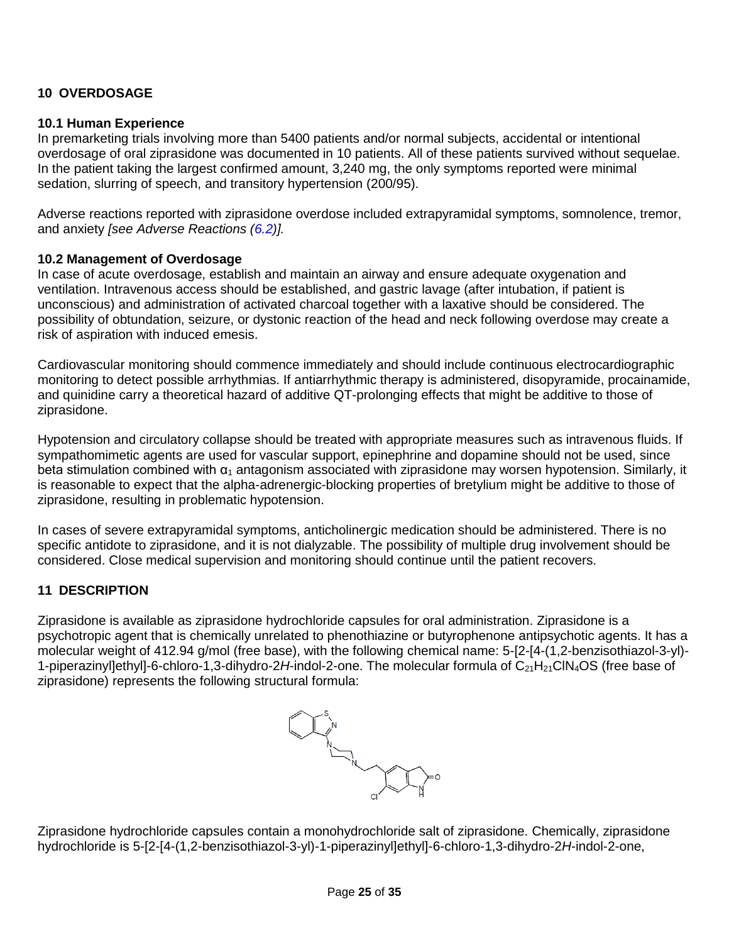#### <span id="page-24-0"></span>**10 OVERDOSAGE**

#### <span id="page-24-1"></span>**10.1 Human Experience**

In premarketing trials involving more than 5400 patients and/or normal subjects, accidental or intentional overdosage of oral ziprasidone was documented in 10 patients. All of these patients survived without sequelae. In the patient taking the largest confirmed amount, 3,240 mg, the only symptoms reported were minimal sedation, slurring of speech, and transitory hypertension (200/95).

Adverse reactions reported with ziprasidone overdose included extrapyramidal symptoms, somnolence, tremor, and anxiety *[see Adverse Reactions [\(6.2\)](#page-20-1)].*

#### <span id="page-24-2"></span>**10.2 Management of Overdosage**

In case of acute overdosage, establish and maintain an airway and ensure adequate oxygenation and ventilation. Intravenous access should be established, and gastric lavage (after intubation, if patient is unconscious) and administration of activated charcoal together with a laxative should be considered. The possibility of obtundation, seizure, or dystonic reaction of the head and neck following overdose may create a risk of aspiration with induced emesis.

Cardiovascular monitoring should commence immediately and should include continuous electrocardiographic monitoring to detect possible arrhythmias. If antiarrhythmic therapy is administered, disopyramide, procainamide, and quinidine carry a theoretical hazard of additive QT-prolonging effects that might be additive to those of ziprasidone.

Hypotension and circulatory collapse should be treated with appropriate measures such as intravenous fluids. If sympathomimetic agents are used for vascular support, epinephrine and dopamine should not be used, since beta stimulation combined with  $\alpha_1$  antagonism associated with ziprasidone may worsen hypotension. Similarly, it is reasonable to expect that the alpha-adrenergic-blocking properties of bretylium might be additive to those of ziprasidone, resulting in problematic hypotension.

In cases of severe extrapyramidal symptoms, anticholinergic medication should be administered. There is no specific antidote to ziprasidone, and it is not dialyzable. The possibility of multiple drug involvement should be considered. Close medical supervision and monitoring should continue until the patient recovers.

#### <span id="page-24-3"></span>**11 DESCRIPTION**

Ziprasidone is available as ziprasidone hydrochloride capsules for oral administration. Ziprasidone is a psychotropic agent that is chemically unrelated to phenothiazine or butyrophenone antipsychotic agents. It has a molecular weight of 412.94 g/mol (free base), with the following chemical name: 5-[2-[4-(1,2-benzisothiazol-3-yl)- 1-piperazinyl]ethyl]-6-chloro-1,3-dihydro-2*H*-indol-2-one. The molecular formula of C21H21ClN4OS (free base of ziprasidone) represents the following structural formula:



Ziprasidone hydrochloride capsules contain a monohydrochloride salt of ziprasidone. Chemically, ziprasidone hydrochloride is 5-[2-[4-(1,2-benzisothiazol-3-yl)-1-piperazinyl]ethyl]-6-chloro-1,3-dihydro-2*H*-indol-2-one,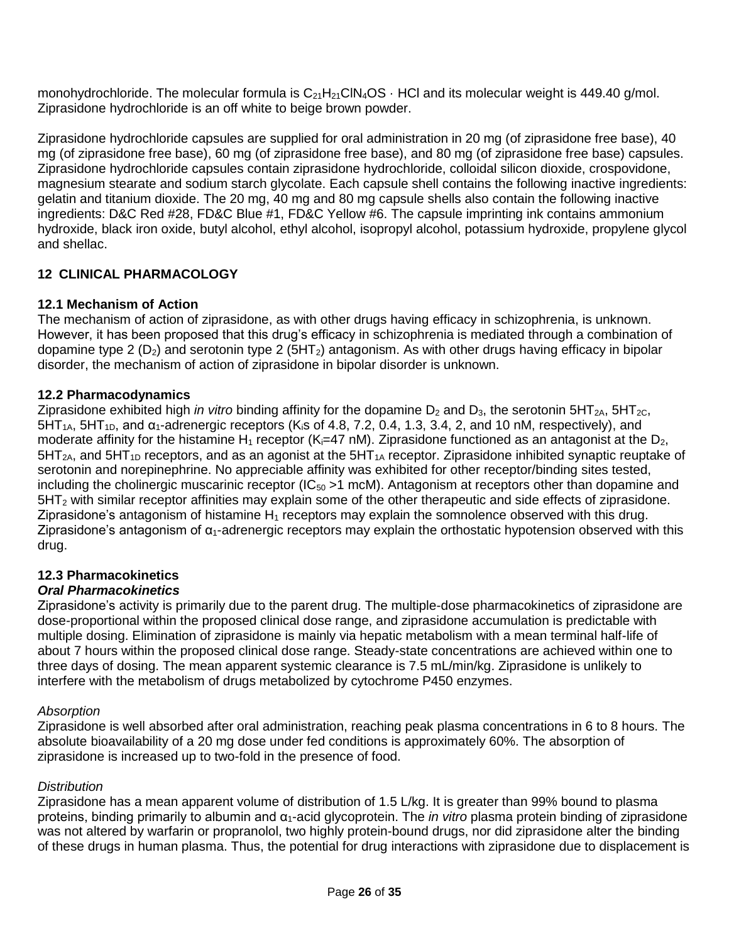monohydrochloride. The molecular formula is  $C_{21}H_{21}CIN_4OS \cdot HCl$  and its molecular weight is 449.40 g/mol. Ziprasidone hydrochloride is an off white to beige brown powder.

Ziprasidone hydrochloride capsules are supplied for oral administration in 20 mg (of ziprasidone free base), 40 mg (of ziprasidone free base), 60 mg (of ziprasidone free base), and 80 mg (of ziprasidone free base) capsules. Ziprasidone hydrochloride capsules contain ziprasidone hydrochloride, colloidal silicon dioxide, crospovidone, magnesium stearate and sodium starch glycolate. Each capsule shell contains the following inactive ingredients: gelatin and titanium dioxide. The 20 mg, 40 mg and 80 mg capsule shells also contain the following inactive ingredients: D&C Red #28, FD&C Blue #1, FD&C Yellow #6. The capsule imprinting ink contains ammonium hydroxide, black iron oxide, butyl alcohol, ethyl alcohol, isopropyl alcohol, potassium hydroxide, propylene glycol and shellac.

## <span id="page-25-0"></span>**12 CLINICAL PHARMACOLOGY**

### <span id="page-25-1"></span>**12.1 Mechanism of Action**

The mechanism of action of ziprasidone, as with other drugs having efficacy in schizophrenia, is unknown. However, it has been proposed that this drug's efficacy in schizophrenia is mediated through a combination of dopamine type 2 ( $D_2$ ) and serotonin type 2 ( $5HT_2$ ) antagonism. As with other drugs having efficacy in bipolar disorder, the mechanism of action of ziprasidone in bipolar disorder is unknown.

### <span id="page-25-2"></span>**12.2 Pharmacodynamics**

Ziprasidone exhibited high *in vitro* binding affinity for the dopamine  $D_2$  and  $D_3$ , the serotonin 5HT<sub>2A</sub>, 5HT<sub>2C</sub>,  $5HT<sub>1A</sub>$ ,  $5HT<sub>1D</sub>$ , and  $α<sub>1</sub>$ -adrenergic receptors (K<sub>i</sub>s of 4.8, 7.2, 0.4, 1.3, 3.4, 2, and 10 nM, respectively), and moderate affinity for the histamine H<sub>1</sub> receptor (K<sub>i</sub>=47 nM). Ziprasidone functioned as an antagonist at the D<sub>2</sub>,  $5HT<sub>2A</sub>$ , and  $5HT<sub>1D</sub>$  receptors, and as an agonist at the  $5HT<sub>1A</sub>$  receptor. Ziprasidone inhibited synaptic reuptake of serotonin and norepinephrine. No appreciable affinity was exhibited for other receptor/binding sites tested, including the cholinergic muscarinic receptor ( $IC_{50} > 1$  mcM). Antagonism at receptors other than dopamine and  $5HT<sub>2</sub>$  with similar receptor affinities may explain some of the other therapeutic and side effects of ziprasidone. Ziprasidone's antagonism of histamine  $H_1$  receptors may explain the somnolence observed with this drug. Ziprasidone's antagonism of  $\alpha_1$ -adrenergic receptors may explain the orthostatic hypotension observed with this drug.

## <span id="page-25-3"></span>**12.3 Pharmacokinetics**

## *Oral Pharmacokinetics*

Ziprasidone's activity is primarily due to the parent drug. The multiple-dose pharmacokinetics of ziprasidone are dose-proportional within the proposed clinical dose range, and ziprasidone accumulation is predictable with multiple dosing. Elimination of ziprasidone is mainly via hepatic metabolism with a mean terminal half-life of about 7 hours within the proposed clinical dose range. Steady-state concentrations are achieved within one to three days of dosing. The mean apparent systemic clearance is 7.5 mL/min/kg. Ziprasidone is unlikely to interfere with the metabolism of drugs metabolized by cytochrome P450 enzymes.

#### *Absorption*

Ziprasidone is well absorbed after oral administration, reaching peak plasma concentrations in 6 to 8 hours. The absolute bioavailability of a 20 mg dose under fed conditions is approximately 60%. The absorption of ziprasidone is increased up to two-fold in the presence of food.

#### *Distribution*

Ziprasidone has a mean apparent volume of distribution of 1.5 L/kg. It is greater than 99% bound to plasma proteins, binding primarily to albumin and α1-acid glycoprotein. The *in vitro* plasma protein binding of ziprasidone was not altered by warfarin or propranolol, two highly protein-bound drugs, nor did ziprasidone alter the binding of these drugs in human plasma. Thus, the potential for drug interactions with ziprasidone due to displacement is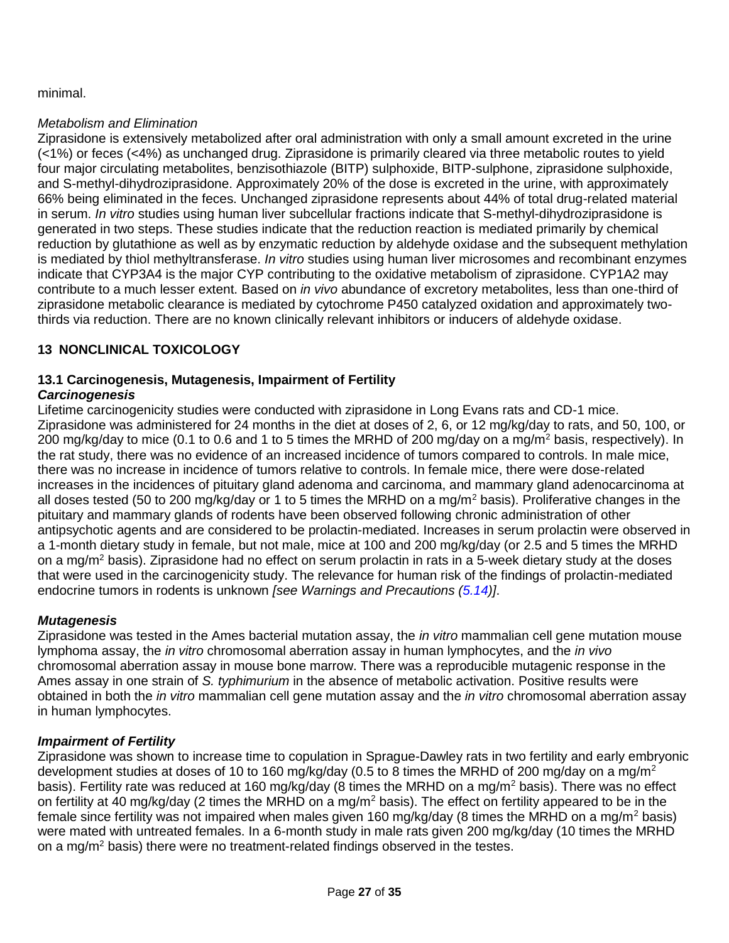### minimal.

### *Metabolism and Elimination*

Ziprasidone is extensively metabolized after oral administration with only a small amount excreted in the urine (<1%) or feces (<4%) as unchanged drug. Ziprasidone is primarily cleared via three metabolic routes to yield four major circulating metabolites, benzisothiazole (BITP) sulphoxide, BITP-sulphone, ziprasidone sulphoxide, and S-methyl-dihydroziprasidone. Approximately 20% of the dose is excreted in the urine, with approximately 66% being eliminated in the feces. Unchanged ziprasidone represents about 44% of total drug-related material in serum. *In vitro* studies using human liver subcellular fractions indicate that S-methyl-dihydroziprasidone is generated in two steps. These studies indicate that the reduction reaction is mediated primarily by chemical reduction by glutathione as well as by enzymatic reduction by aldehyde oxidase and the subsequent methylation is mediated by thiol methyltransferase. *In vitro* studies using human liver microsomes and recombinant enzymes indicate that CYP3A4 is the major CYP contributing to the oxidative metabolism of ziprasidone. CYP1A2 may contribute to a much lesser extent. Based on *in vivo* abundance of excretory metabolites, less than one-third of ziprasidone metabolic clearance is mediated by cytochrome P450 catalyzed oxidation and approximately twothirds via reduction. There are no known clinically relevant inhibitors or inducers of aldehyde oxidase.

## <span id="page-26-0"></span>**13 NONCLINICAL TOXICOLOGY**

# <span id="page-26-1"></span>**13.1 Carcinogenesis, Mutagenesis, Impairment of Fertility**

## *Carcinogenesis*

Lifetime carcinogenicity studies were conducted with ziprasidone in Long Evans rats and CD-1 mice. Ziprasidone was administered for 24 months in the diet at doses of 2, 6, or 12 mg/kg/day to rats, and 50, 100, or 200 mg/kg/day to mice (0.1 to 0.6 and 1 to 5 times the MRHD of 200 mg/day on a mg/m<sup>2</sup> basis, respectively). In the rat study, there was no evidence of an increased incidence of tumors compared to controls. In male mice, there was no increase in incidence of tumors relative to controls. In female mice, there were dose-related increases in the incidences of pituitary gland adenoma and carcinoma, and mammary gland adenocarcinoma at all doses tested (50 to 200 mg/kg/day or 1 to 5 times the MRHD on a mg/m<sup>2</sup> basis). Proliferative changes in the pituitary and mammary glands of rodents have been observed following chronic administration of other antipsychotic agents and are considered to be prolactin-mediated. Increases in serum prolactin were observed in a 1-month dietary study in female, but not male, mice at 100 and 200 mg/kg/day (or 2.5 and 5 times the MRHD on a mg/m<sup>2</sup> basis). Ziprasidone had no effect on serum prolactin in rats in a 5-week dietary study at the doses that were used in the carcinogenicity study. The relevance for human risk of the findings of prolactin-mediated endocrine tumors in rodents is unknown *[see Warnings and Precautions [\(5.14\)](#page-13-4)]*.

## *Mutagenesis*

Ziprasidone was tested in the Ames bacterial mutation assay, the *in vitro* mammalian cell gene mutation mouse lymphoma assay, the *in vitro* chromosomal aberration assay in human lymphocytes, and the *in vivo*  chromosomal aberration assay in mouse bone marrow. There was a reproducible mutagenic response in the Ames assay in one strain of *S. typhimurium* in the absence of metabolic activation. Positive results were obtained in both the *in vitro* mammalian cell gene mutation assay and the *in vitro* chromosomal aberration assay in human lymphocytes.

## *Impairment of Fertility*

Ziprasidone was shown to increase time to copulation in Sprague-Dawley rats in two fertility and early embryonic development studies at doses of 10 to 160 mg/kg/day (0.5 to 8 times the MRHD of 200 mg/day on a mg/m<sup>2</sup> basis). Fertility rate was reduced at 160 mg/kg/day (8 times the MRHD on a mg/m<sup>2</sup> basis). There was no effect on fertility at 40 mg/kg/day (2 times the MRHD on a mg/m<sup>2</sup> basis). The effect on fertility appeared to be in the female since fertility was not impaired when males given 160 mg/kg/day (8 times the MRHD on a mg/m<sup>2</sup> basis) were mated with untreated females. In a 6-month study in male rats given 200 mg/kg/day (10 times the MRHD on a mg/ $m<sup>2</sup>$  basis) there were no treatment-related findings observed in the testes.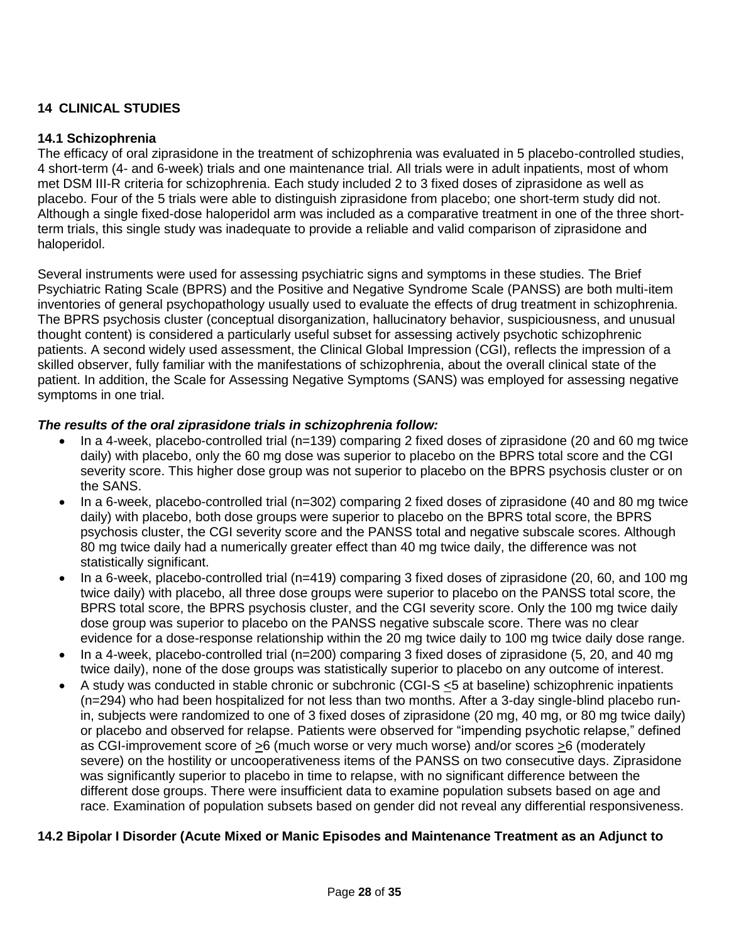### <span id="page-27-0"></span>**14 CLINICAL STUDIES**

#### <span id="page-27-1"></span>**14.1 Schizophrenia**

The efficacy of oral ziprasidone in the treatment of schizophrenia was evaluated in 5 placebo-controlled studies, 4 short-term (4- and 6-week) trials and one maintenance trial. All trials were in adult inpatients, most of whom met DSM III-R criteria for schizophrenia. Each study included 2 to 3 fixed doses of ziprasidone as well as placebo. Four of the 5 trials were able to distinguish ziprasidone from placebo; one short-term study did not. Although a single fixed-dose haloperidol arm was included as a comparative treatment in one of the three shortterm trials, this single study was inadequate to provide a reliable and valid comparison of ziprasidone and haloperidol.

Several instruments were used for assessing psychiatric signs and symptoms in these studies. The Brief Psychiatric Rating Scale (BPRS) and the Positive and Negative Syndrome Scale (PANSS) are both multi-item inventories of general psychopathology usually used to evaluate the effects of drug treatment in schizophrenia. The BPRS psychosis cluster (conceptual disorganization, hallucinatory behavior, suspiciousness, and unusual thought content) is considered a particularly useful subset for assessing actively psychotic schizophrenic patients. A second widely used assessment, the Clinical Global Impression (CGI), reflects the impression of a skilled observer, fully familiar with the manifestations of schizophrenia, about the overall clinical state of the patient. In addition, the Scale for Assessing Negative Symptoms (SANS) was employed for assessing negative symptoms in one trial.

#### *The results of the oral ziprasidone trials in schizophrenia follow:*

- In a 4-week, placebo-controlled trial (n=139) comparing 2 fixed doses of ziprasidone (20 and 60 mg twice daily) with placebo, only the 60 mg dose was superior to placebo on the BPRS total score and the CGI severity score. This higher dose group was not superior to placebo on the BPRS psychosis cluster or on the SANS.
- In a 6-week, placebo-controlled trial (n=302) comparing 2 fixed doses of ziprasidone (40 and 80 mg twice daily) with placebo, both dose groups were superior to placebo on the BPRS total score, the BPRS psychosis cluster, the CGI severity score and the PANSS total and negative subscale scores. Although 80 mg twice daily had a numerically greater effect than 40 mg twice daily, the difference was not statistically significant.
- In a 6-week, placebo-controlled trial (n=419) comparing 3 fixed doses of ziprasidone (20, 60, and 100 mg twice daily) with placebo, all three dose groups were superior to placebo on the PANSS total score, the BPRS total score, the BPRS psychosis cluster, and the CGI severity score. Only the 100 mg twice daily dose group was superior to placebo on the PANSS negative subscale score. There was no clear evidence for a dose-response relationship within the 20 mg twice daily to 100 mg twice daily dose range.
- In a 4-week, placebo-controlled trial (n=200) comparing 3 fixed doses of ziprasidone (5, 20, and 40 mg twice daily), none of the dose groups was statistically superior to placebo on any outcome of interest.
- A study was conducted in stable chronic or subchronic (CGI-S <5 at baseline) schizophrenic inpatients (n=294) who had been hospitalized for not less than two months. After a 3-day single-blind placebo runin, subjects were randomized to one of 3 fixed doses of ziprasidone (20 mg, 40 mg, or 80 mg twice daily) or placebo and observed for relapse. Patients were observed for "impending psychotic relapse," defined as CGI-improvement score of >6 (much worse or very much worse) and/or scores >6 (moderately severe) on the hostility or uncooperativeness items of the PANSS on two consecutive days. Ziprasidone was significantly superior to placebo in time to relapse, with no significant difference between the different dose groups. There were insufficient data to examine population subsets based on age and race. Examination of population subsets based on gender did not reveal any differential responsiveness.

#### <span id="page-27-2"></span>**14.2 Bipolar I Disorder (Acute Mixed or Manic Episodes and Maintenance Treatment as an Adjunct to**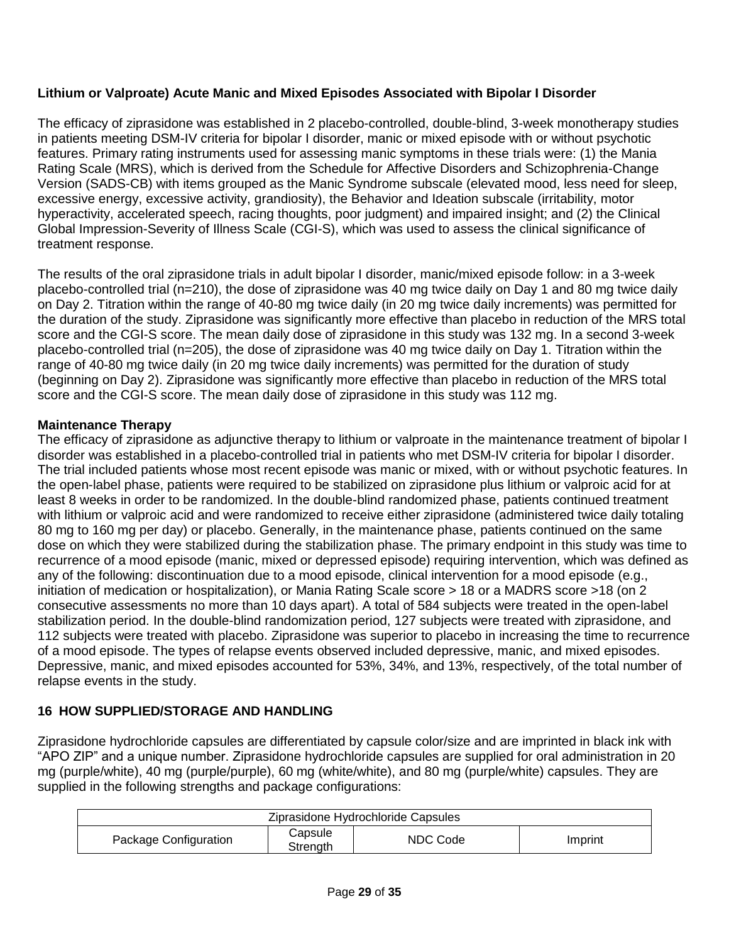## **Lithium or Valproate) Acute Manic and Mixed Episodes Associated with Bipolar I Disorder**

The efficacy of ziprasidone was established in 2 placebo-controlled, double-blind, 3-week monotherapy studies in patients meeting DSM-IV criteria for bipolar I disorder, manic or mixed episode with or without psychotic features. Primary rating instruments used for assessing manic symptoms in these trials were: (1) the Mania Rating Scale (MRS), which is derived from the Schedule for Affective Disorders and Schizophrenia-Change Version (SADS-CB) with items grouped as the Manic Syndrome subscale (elevated mood, less need for sleep, excessive energy, excessive activity, grandiosity), the Behavior and Ideation subscale (irritability, motor hyperactivity, accelerated speech, racing thoughts, poor judgment) and impaired insight; and (2) the Clinical Global Impression-Severity of Illness Scale (CGI-S), which was used to assess the clinical significance of treatment response.

The results of the oral ziprasidone trials in adult bipolar I disorder, manic/mixed episode follow: in a 3-week placebo-controlled trial (n=210), the dose of ziprasidone was 40 mg twice daily on Day 1 and 80 mg twice daily on Day 2. Titration within the range of 40-80 mg twice daily (in 20 mg twice daily increments) was permitted for the duration of the study. Ziprasidone was significantly more effective than placebo in reduction of the MRS total score and the CGI-S score. The mean daily dose of ziprasidone in this study was 132 mg. In a second 3-week placebo-controlled trial (n=205), the dose of ziprasidone was 40 mg twice daily on Day 1. Titration within the range of 40-80 mg twice daily (in 20 mg twice daily increments) was permitted for the duration of study (beginning on Day 2). Ziprasidone was significantly more effective than placebo in reduction of the MRS total score and the CGI-S score. The mean daily dose of ziprasidone in this study was 112 mg.

## **Maintenance Therapy**

The efficacy of ziprasidone as adjunctive therapy to lithium or valproate in the maintenance treatment of bipolar I disorder was established in a placebo-controlled trial in patients who met DSM-IV criteria for bipolar I disorder. The trial included patients whose most recent episode was manic or mixed, with or without psychotic features. In the open-label phase, patients were required to be stabilized on ziprasidone plus lithium or valproic acid for at least 8 weeks in order to be randomized. In the double-blind randomized phase, patients continued treatment with lithium or valproic acid and were randomized to receive either ziprasidone (administered twice daily totaling 80 mg to 160 mg per day) or placebo. Generally, in the maintenance phase, patients continued on the same dose on which they were stabilized during the stabilization phase. The primary endpoint in this study was time to recurrence of a mood episode (manic, mixed or depressed episode) requiring intervention, which was defined as any of the following: discontinuation due to a mood episode, clinical intervention for a mood episode (e.g., initiation of medication or hospitalization), or Mania Rating Scale score > 18 or a MADRS score >18 (on 2 consecutive assessments no more than 10 days apart). A total of 584 subjects were treated in the open-label stabilization period. In the double-blind randomization period, 127 subjects were treated with ziprasidone, and 112 subjects were treated with placebo. Ziprasidone was superior to placebo in increasing the time to recurrence of a mood episode. The types of relapse events observed included depressive, manic, and mixed episodes. Depressive, manic, and mixed episodes accounted for 53%, 34%, and 13%, respectively, of the total number of relapse events in the study.

## <span id="page-28-0"></span>**16 HOW SUPPLIED/STORAGE AND HANDLING**

Ziprasidone hydrochloride capsules are differentiated by capsule color/size and are imprinted in black ink with "APO ZIP" and a unique number. Ziprasidone hydrochloride capsules are supplied for oral administration in 20 mg (purple/white), 40 mg (purple/purple), 60 mg (white/white), and 80 mg (purple/white) capsules. They are supplied in the following strengths and package configurations:

| Ziprasidone Hydrochloride Capsules |                     |          |         |  |  |
|------------------------------------|---------------------|----------|---------|--|--|
| Package Configuration              | Capsule<br>Strength | NDC Code | Imprint |  |  |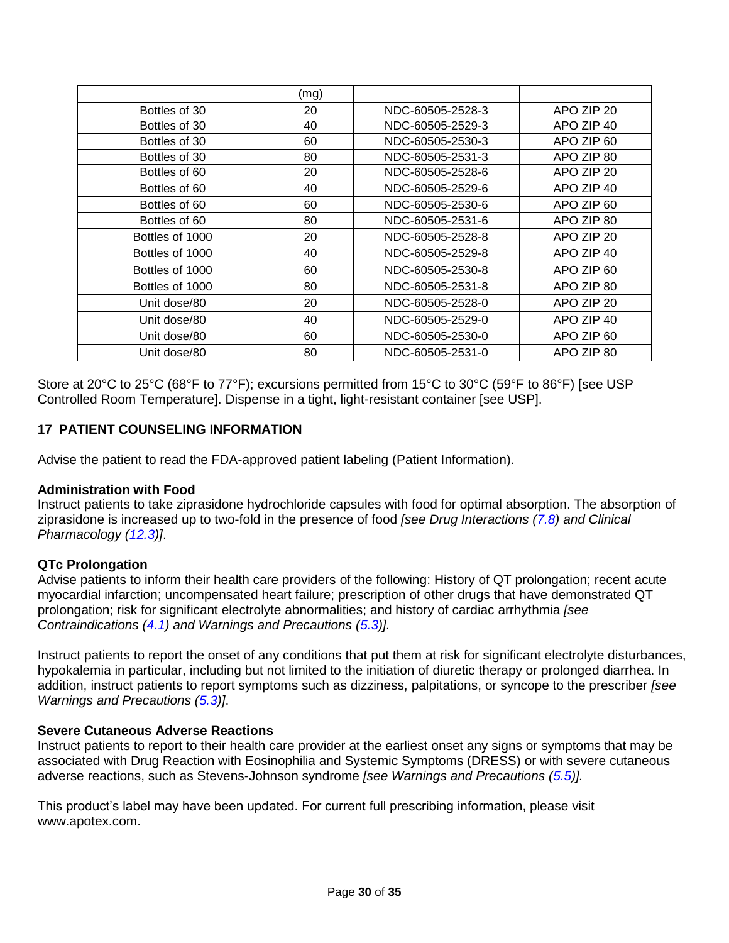|                 | (mg) |                  |            |
|-----------------|------|------------------|------------|
| Bottles of 30   | 20   | NDC-60505-2528-3 | APO ZIP 20 |
| Bottles of 30   | 40   | NDC-60505-2529-3 | APO ZIP 40 |
| Bottles of 30   | 60   | NDC-60505-2530-3 | APO ZIP 60 |
| Bottles of 30   | 80   | NDC-60505-2531-3 | APO ZIP 80 |
| Bottles of 60   | 20   | NDC-60505-2528-6 | APO ZIP 20 |
| Bottles of 60   | 40   | NDC-60505-2529-6 | APO ZIP 40 |
| Bottles of 60   | 60   | NDC-60505-2530-6 | APO ZIP 60 |
| Bottles of 60   | 80   | NDC-60505-2531-6 | APO ZIP 80 |
| Bottles of 1000 | 20   | NDC-60505-2528-8 | APO ZIP 20 |
| Bottles of 1000 | 40   | NDC-60505-2529-8 | APO ZIP 40 |
| Bottles of 1000 | 60   | NDC-60505-2530-8 | APO ZIP 60 |
| Bottles of 1000 | 80   | NDC-60505-2531-8 | APO ZIP 80 |
| Unit dose/80    | 20   | NDC-60505-2528-0 | APO ZIP 20 |
| Unit dose/80    | 40   | NDC-60505-2529-0 | APO ZIP 40 |
| Unit dose/80    | 60   | NDC-60505-2530-0 | APO ZIP 60 |
| Unit dose/80    | 80   | NDC-60505-2531-0 | APO ZIP 80 |

Store at 20°C to 25°C (68°F to 77°F); excursions permitted from 15°C to 30°C (59°F to 86°F) [see USP Controlled Room Temperature]. Dispense in a tight, light-resistant container [see USP].

## <span id="page-29-0"></span>**17 PATIENT COUNSELING INFORMATION**

Advise the patient to read the FDA-approved patient labeling (Patient Information).

#### **Administration with Food**

Instruct patients to take ziprasidone hydrochloride capsules with food for optimal absorption. The absorption of ziprasidone is increased up to two-fold in the presence of food *[see Drug Interactions [\(7.8\)](#page-21-6) and Clinical Pharmacology [\(12.3\)](#page-25-3)]*.

#### **QTc Prolongation**

Advise patients to inform their health care providers of the following: History of QT prolongation; recent acute myocardial infarction; uncompensated heart failure; prescription of other drugs that have demonstrated QT prolongation; risk for significant electrolyte abnormalities; and history of cardiac arrhythmia *[see Contraindications [\(4.1\)](#page-4-3) and Warnings and Precautions [\(5.3\)](#page-5-2)].*

Instruct patients to report the onset of any conditions that put them at risk for significant electrolyte disturbances, hypokalemia in particular, including but not limited to the initiation of diuretic therapy or prolonged diarrhea. In addition, instruct patients to report symptoms such as dizziness, palpitations, or syncope to the prescriber *[see Warnings and Precautions [\(5.3\)](#page-5-2)]*.

#### **Severe Cutaneous Adverse Reactions**

Instruct patients to report to their health care provider at the earliest onset any signs or symptoms that may be associated with Drug Reaction with Eosinophilia and Systemic Symptoms (DRESS) or with severe cutaneous adverse reactions, such as Stevens-Johnson syndrome *[see Warnings and Precautions [\(5.5\)](#page-7-0)].*

This product's label may have been updated. For current full prescribing information, please visit www.apotex.com.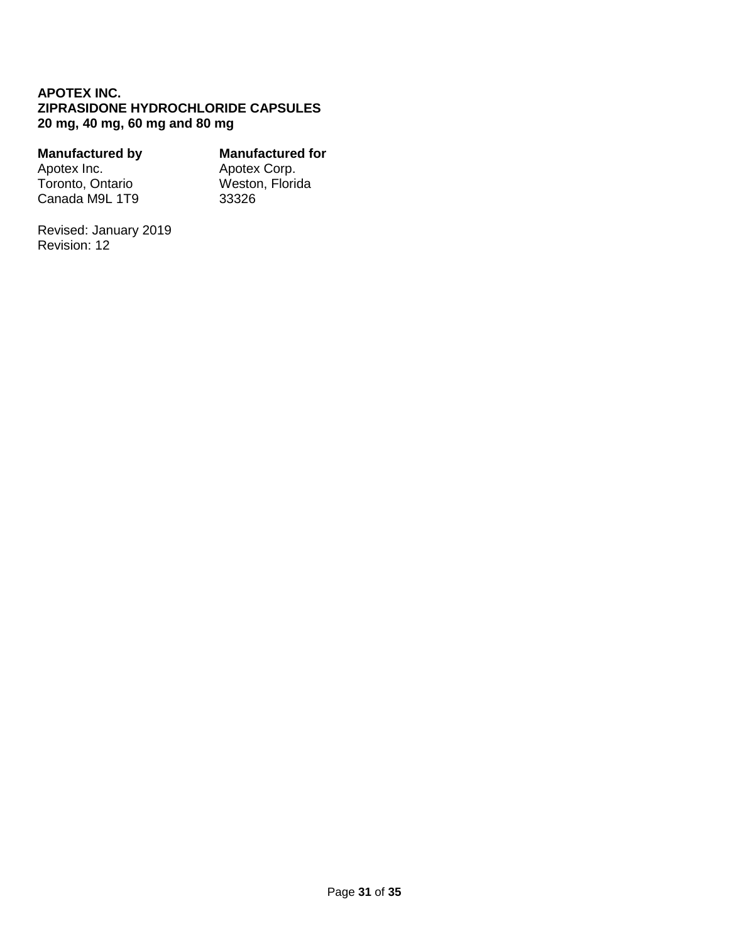### **APOTEX INC. ZIPRASIDONE HYDROCHLORIDE CAPSULES 20 mg, 40 mg, 60 mg and 80 mg**

# **Manufactured by**

### **Manufactured for**

Apotex Inc. Toronto, Ontario Canada M9L 1T9 Apotex Corp. Weston, Florida 33326

Revised: January 2019 Revision: 12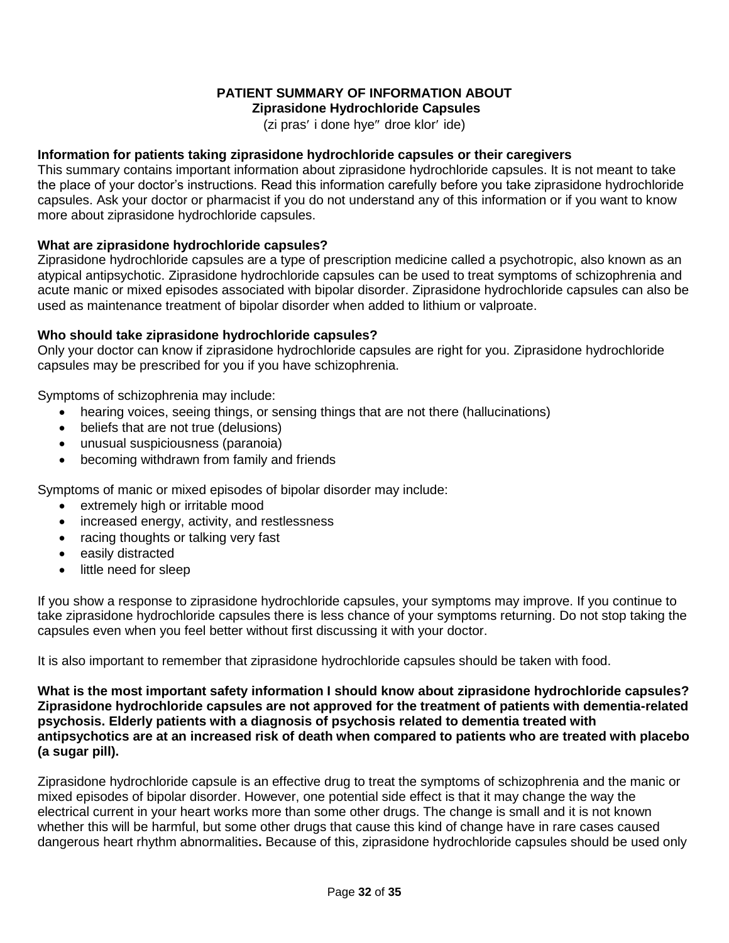## **PATIENT SUMMARY OF INFORMATION ABOUT**

**Ziprasidone Hydrochloride Capsules**

(zi pras' i done hye" droe klor' ide)

#### **Information for patients taking ziprasidone hydrochloride capsules or their caregivers**

This summary contains important information about ziprasidone hydrochloride capsules. It is not meant to take the place of your doctor's instructions. Read this information carefully before you take ziprasidone hydrochloride capsules. Ask your doctor or pharmacist if you do not understand any of this information or if you want to know more about ziprasidone hydrochloride capsules.

#### **What are ziprasidone hydrochloride capsules?**

Ziprasidone hydrochloride capsules are a type of prescription medicine called a psychotropic, also known as an atypical antipsychotic. Ziprasidone hydrochloride capsules can be used to treat symptoms of schizophrenia and acute manic or mixed episodes associated with bipolar disorder. Ziprasidone hydrochloride capsules can also be used as maintenance treatment of bipolar disorder when added to lithium or valproate.

#### **Who should take ziprasidone hydrochloride capsules?**

Only your doctor can know if ziprasidone hydrochloride capsules are right for you. Ziprasidone hydrochloride capsules may be prescribed for you if you have schizophrenia.

Symptoms of schizophrenia may include:

- hearing voices, seeing things, or sensing things that are not there (hallucinations)
- beliefs that are not true (delusions)
- unusual suspiciousness (paranoia)
- becoming withdrawn from family and friends

Symptoms of manic or mixed episodes of bipolar disorder may include:

- extremely high or irritable mood
- increased energy, activity, and restlessness
- racing thoughts or talking very fast
- easily distracted
- little need for sleep

If you show a response to ziprasidone hydrochloride capsules, your symptoms may improve. If you continue to take ziprasidone hydrochloride capsules there is less chance of your symptoms returning. Do not stop taking the capsules even when you feel better without first discussing it with your doctor.

It is also important to remember that ziprasidone hydrochloride capsules should be taken with food.

**What is the most important safety information I should know about ziprasidone hydrochloride capsules? Ziprasidone hydrochloride capsules are not approved for the treatment of patients with dementia-related psychosis. Elderly patients with a diagnosis of psychosis related to dementia treated with antipsychotics are at an increased risk of death when compared to patients who are treated with placebo (a sugar pill).**

Ziprasidone hydrochloride capsule is an effective drug to treat the symptoms of schizophrenia and the manic or mixed episodes of bipolar disorder. However, one potential side effect is that it may change the way the electrical current in your heart works more than some other drugs. The change is small and it is not known whether this will be harmful, but some other drugs that cause this kind of change have in rare cases caused dangerous heart rhythm abnormalities**.** Because of this, ziprasidone hydrochloride capsules should be used only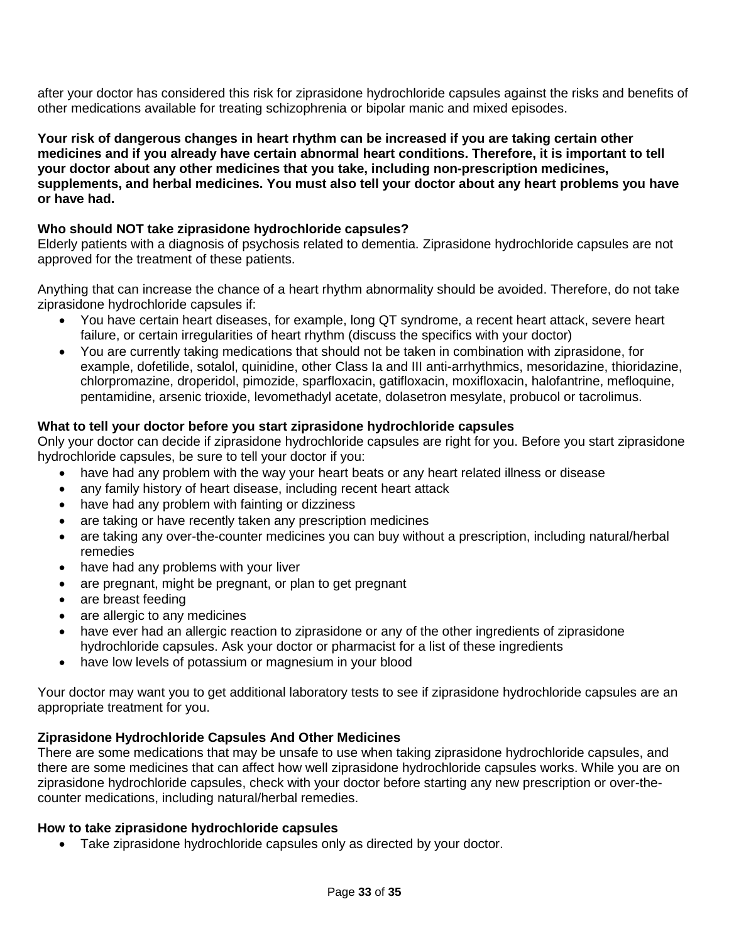after your doctor has considered this risk for ziprasidone hydrochloride capsules against the risks and benefits of other medications available for treating schizophrenia or bipolar manic and mixed episodes.

**Your risk of dangerous changes in heart rhythm can be increased if you are taking certain other medicines and if you already have certain abnormal heart conditions. Therefore, it is important to tell your doctor about any other medicines that you take, including non-prescription medicines, supplements, and herbal medicines. You must also tell your doctor about any heart problems you have or have had.**

#### **Who should NOT take ziprasidone hydrochloride capsules?**

Elderly patients with a diagnosis of psychosis related to dementia. Ziprasidone hydrochloride capsules are not approved for the treatment of these patients.

Anything that can increase the chance of a heart rhythm abnormality should be avoided. Therefore, do not take ziprasidone hydrochloride capsules if:

- You have certain heart diseases, for example, long QT syndrome, a recent heart attack, severe heart failure, or certain irregularities of heart rhythm (discuss the specifics with your doctor)
- You are currently taking medications that should not be taken in combination with ziprasidone, for example, dofetilide, sotalol, quinidine, other Class Ia and III anti-arrhythmics, mesoridazine, thioridazine, chlorpromazine, droperidol, pimozide, sparfloxacin, gatifloxacin, moxifloxacin, halofantrine, mefloquine, pentamidine, arsenic trioxide, levomethadyl acetate, dolasetron mesylate, probucol or tacrolimus.

#### **What to tell your doctor before you start ziprasidone hydrochloride capsules**

Only your doctor can decide if ziprasidone hydrochloride capsules are right for you. Before you start ziprasidone hydrochloride capsules, be sure to tell your doctor if you:

- have had any problem with the way your heart beats or any heart related illness or disease
- any family history of heart disease, including recent heart attack
- have had any problem with fainting or dizziness
- are taking or have recently taken any prescription medicines
- are taking any over-the-counter medicines you can buy without a prescription, including natural/herbal remedies
- have had any problems with your liver
- are pregnant, might be pregnant, or plan to get pregnant
- are breast feeding
- are allergic to any medicines
- have ever had an allergic reaction to ziprasidone or any of the other ingredients of ziprasidone hydrochloride capsules. Ask your doctor or pharmacist for a list of these ingredients
- have low levels of potassium or magnesium in your blood

Your doctor may want you to get additional laboratory tests to see if ziprasidone hydrochloride capsules are an appropriate treatment for you.

#### **Ziprasidone Hydrochloride Capsules And Other Medicines**

There are some medications that may be unsafe to use when taking ziprasidone hydrochloride capsules, and there are some medicines that can affect how well ziprasidone hydrochloride capsules works. While you are on ziprasidone hydrochloride capsules, check with your doctor before starting any new prescription or over-thecounter medications, including natural/herbal remedies.

#### **How to take ziprasidone hydrochloride capsules**

• Take ziprasidone hydrochloride capsules only as directed by your doctor.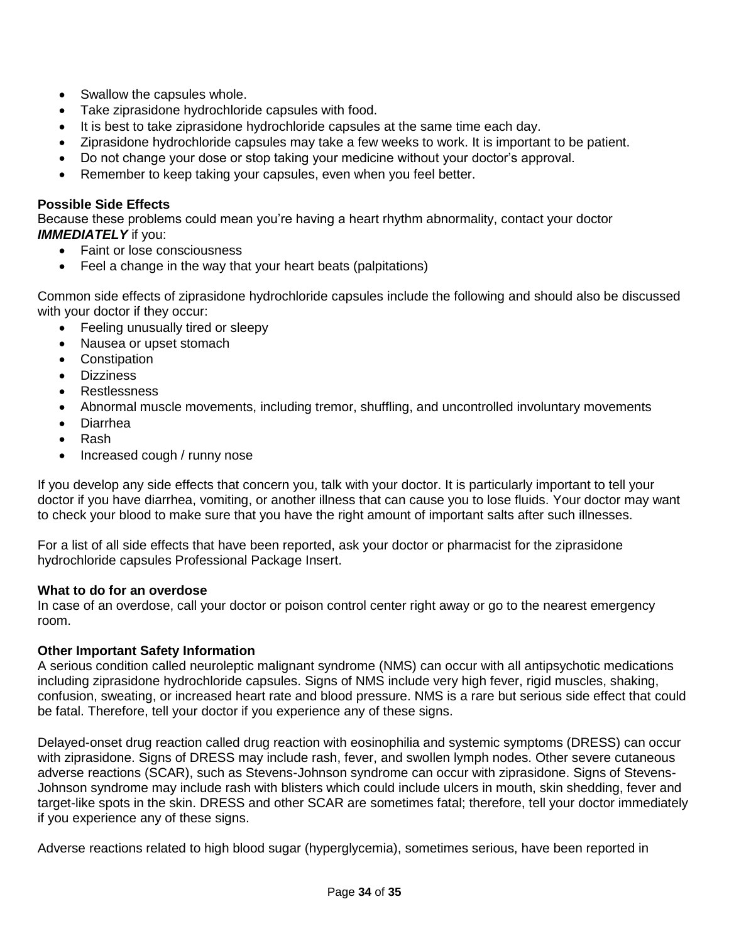- Swallow the capsules whole.
- Take ziprasidone hydrochloride capsules with food.
- It is best to take ziprasidone hydrochloride capsules at the same time each day.
- Ziprasidone hydrochloride capsules may take a few weeks to work. It is important to be patient.
- Do not change your dose or stop taking your medicine without your doctor's approval.
- Remember to keep taking your capsules, even when you feel better.

#### **Possible Side Effects**

Because these problems could mean you're having a heart rhythm abnormality, contact your doctor *IMMEDIATELY* if you:

- Faint or lose consciousness
- Feel a change in the way that your heart beats (palpitations)

Common side effects of ziprasidone hydrochloride capsules include the following and should also be discussed with your doctor if they occur:

- Feeling unusually tired or sleepy
- Nausea or upset stomach
- Constipation
- Dizziness
- Restlessness
- Abnormal muscle movements, including tremor, shuffling, and uncontrolled involuntary movements
- Diarrhea
- Rash
- Increased cough / runny nose

If you develop any side effects that concern you, talk with your doctor. It is particularly important to tell your doctor if you have diarrhea, vomiting, or another illness that can cause you to lose fluids. Your doctor may want to check your blood to make sure that you have the right amount of important salts after such illnesses.

For a list of all side effects that have been reported, ask your doctor or pharmacist for the ziprasidone hydrochloride capsules Professional Package Insert.

#### **What to do for an overdose**

In case of an overdose, call your doctor or poison control center right away or go to the nearest emergency room.

#### **Other Important Safety Information**

A serious condition called neuroleptic malignant syndrome (NMS) can occur with all antipsychotic medications including ziprasidone hydrochloride capsules. Signs of NMS include very high fever, rigid muscles, shaking, confusion, sweating, or increased heart rate and blood pressure. NMS is a rare but serious side effect that could be fatal. Therefore, tell your doctor if you experience any of these signs.

Delayed-onset drug reaction called drug reaction with eosinophilia and systemic symptoms (DRESS) can occur with ziprasidone. Signs of DRESS may include rash, fever, and swollen lymph nodes. Other severe cutaneous adverse reactions (SCAR), such as Stevens-Johnson syndrome can occur with ziprasidone. Signs of Stevens-Johnson syndrome may include rash with blisters which could include ulcers in mouth, skin shedding, fever and target-like spots in the skin. DRESS and other SCAR are sometimes fatal; therefore, tell your doctor immediately if you experience any of these signs.

Adverse reactions related to high blood sugar (hyperglycemia), sometimes serious, have been reported in